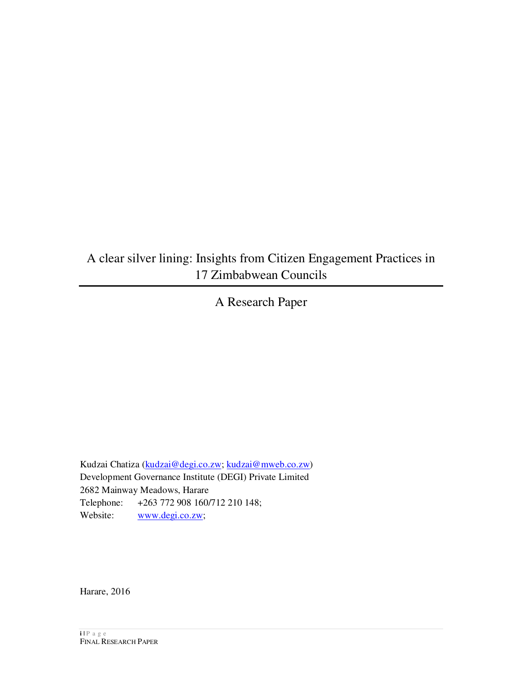# A clear silver lining: Insights from Citizen Engagement Practices in 17 Zimbabwean Councils

A Research Paper

Kudzai Chatiza (kudzai@degi.co.zw; kudzai@mweb.co.zw) Development Governance Institute (DEGI) Private Limited 2682 Mainway Meadows, Harare Telephone: +263 772 908 160/712 210 148; Website: www.degi.co.zw;

Harare, 2016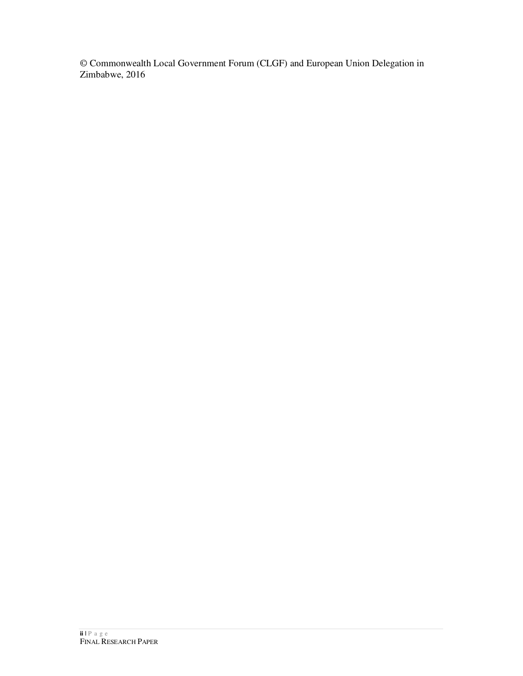© Commonwealth Local Government Forum (CLGF) and European Union Delegation in Zimbabwe, 2016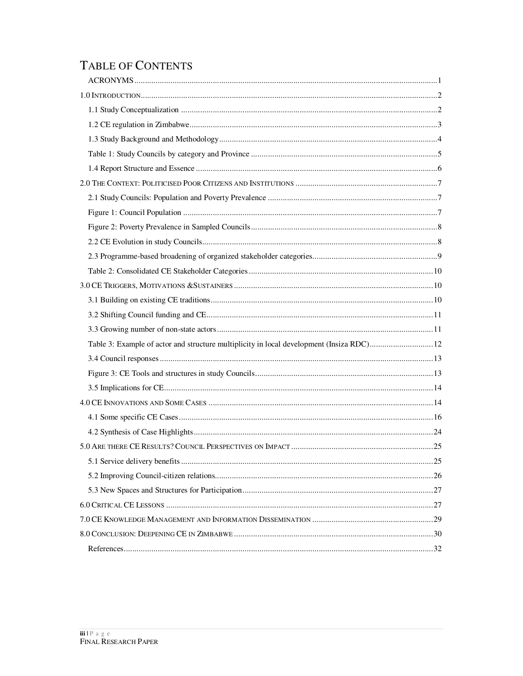# TABLE OF CONTENTS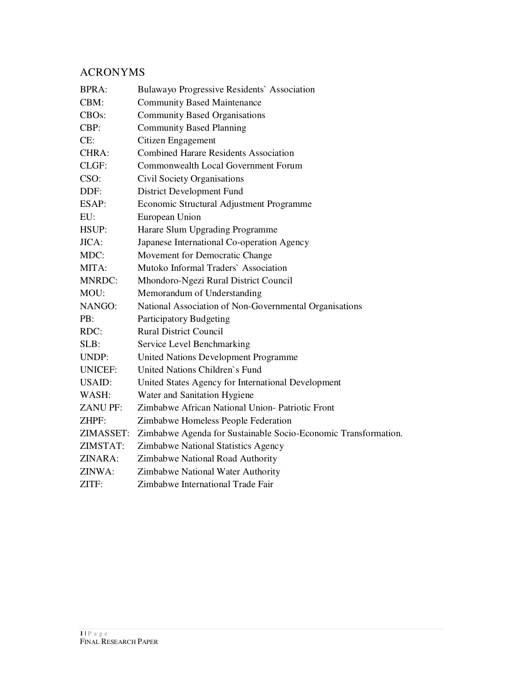## ACRONYMS

| <b>BPRA:</b>       | Bulawayo Progressive Residents` Association                    |
|--------------------|----------------------------------------------------------------|
| CBM:               | <b>Community Based Maintenance</b>                             |
| CBO <sub>s</sub> : | <b>Community Based Organisations</b>                           |
| CBP:               | <b>Community Based Planning</b>                                |
| CE:                | Citizen Engagement                                             |
| CHRA:              | <b>Combined Harare Residents Association</b>                   |
| CLGF:              | <b>Commonwealth Local Government Forum</b>                     |
| CSO:               | Civil Society Organisations                                    |
| DDF:               | District Development Fund                                      |
| ESAP:              | Economic Structural Adjustment Programme                       |
| EU:                | European Union                                                 |
| HSUP:              | Harare Slum Upgrading Programme                                |
| JICA:              | Japanese International Co-operation Agency                     |
| MDC:               | Movement for Democratic Change                                 |
| MITA:              | Mutoko Informal Traders` Association                           |
| <b>MNRDC:</b>      | Mhondoro-Ngezi Rural District Council                          |
| MOU:               | Memorandum of Understanding                                    |
| NANGO:             | National Association of Non-Governmental Organisations         |
| PB:                | Participatory Budgeting                                        |
| RDC:               | <b>Rural District Council</b>                                  |
| SLB:               | Service Level Benchmarking                                     |
| UNDP:              | United Nations Development Programme                           |
| <b>UNICEF:</b>     | United Nations Children's Fund                                 |
| <b>USAID:</b>      | United States Agency for International Development             |
| WASH:              | Water and Sanitation Hygiene                                   |
| <b>ZANUPF:</b>     | Zimbabwe African National Union- Patriotic Front               |
| ZHPF:              | Zimbabwe Homeless People Federation                            |
| ZIMASSET:          | Zimbabwe Agenda for Sustainable Socio-Economic Transformation. |
| ZIMSTAT:           | Zimbabwe National Statistics Agency                            |
| ZINARA:            | Zimbabwe National Road Authority                               |
| ZINWA:             | Zimbabwe National Water Authority                              |
| ZITF:              | Zimbabwe International Trade Fair                              |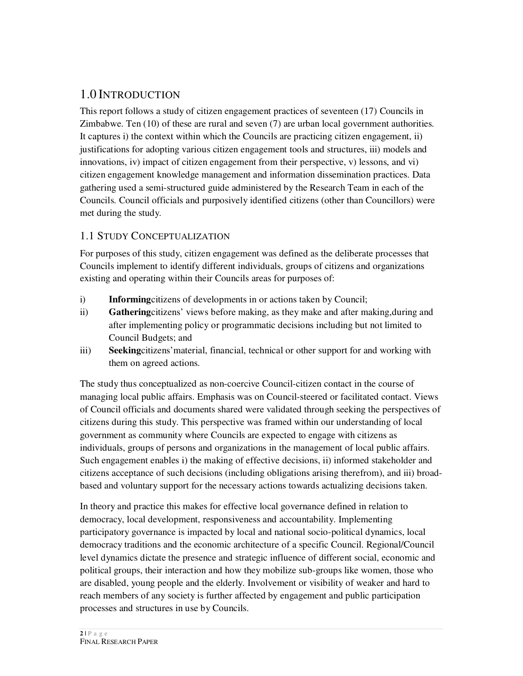## 1.0 INTRODUCTION

This report follows a study of citizen engagement practices of seventeen (17) Councils in Zimbabwe. Ten (10) of these are rural and seven (7) are urban local government authorities. It captures i) the context within which the Councils are practicing citizen engagement, ii) justifications for adopting various citizen engagement tools and structures, iii) models and innovations, iv) impact of citizen engagement from their perspective,  $v$ ) lessons, and vi) citizen engagement knowledge management and information dissemination practices. Data gathering used a semi-structured guide administered by the Research Team in each of the Councils. Council officials and purposively identified citizens (other than Councillors) were met during the study.

## 1.1 STUDY CONCEPTUALIZATION

For purposes of this study, citizen engagement was defined as the deliberate processes that Councils implement to identify different individuals, groups of citizens and organizations existing and operating within their Councils areas for purposes of:

- i) **Informing**citizens of developments in or actions taken by Council;
- ii) **Gathering**citizens' views before making, as they make and after making,during and after implementing policy or programmatic decisions including but not limited to Council Budgets; and
- iii) **Seeking**citizens'material, financial, technical or other support for and working with them on agreed actions.

The study thus conceptualized as non-coercive Council-citizen contact in the course of managing local public affairs. Emphasis was on Council-steered or facilitated contact. Views of Council officials and documents shared were validated through seeking the perspectives of citizens during this study. This perspective was framed within our understanding of local government as community where Councils are expected to engage with citizens as individuals, groups of persons and organizations in the management of local public affairs. Such engagement enables i) the making of effective decisions, ii) informed stakeholder and citizens acceptance of such decisions (including obligations arising therefrom), and iii) broadbased and voluntary support for the necessary actions towards actualizing decisions taken.

In theory and practice this makes for effective local governance defined in relation to democracy, local development, responsiveness and accountability. Implementing participatory governance is impacted by local and national socio-political dynamics, local democracy traditions and the economic architecture of a specific Council. Regional/Council level dynamics dictate the presence and strategic influence of different social, economic and political groups, their interaction and how they mobilize sub-groups like women, those who are disabled, young people and the elderly. Involvement or visibility of weaker and hard to reach members of any society is further affected by engagement and public participation processes and structures in use by Councils.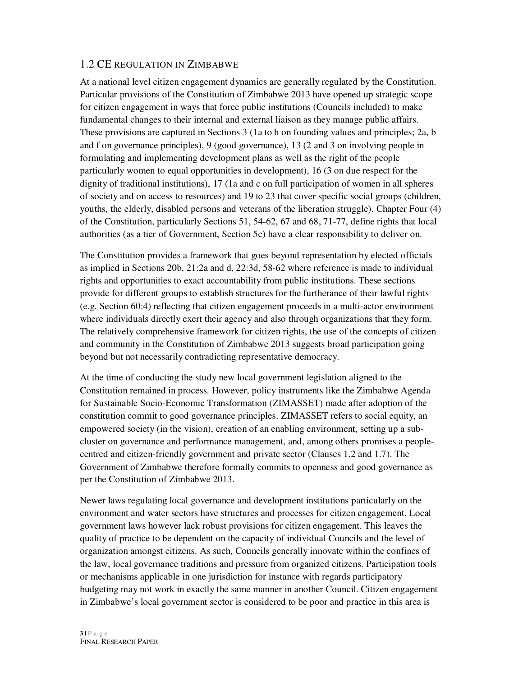## 1.2 CE REGULATION IN ZIMBABWE

At a national level citizen engagement dynamics are generally regulated by the Constitution. Particular provisions of the Constitution of Zimbabwe 2013 have opened up strategic scope for citizen engagement in ways that force public institutions (Councils included) to make fundamental changes to their internal and external liaison as they manage public affairs. These provisions are captured in Sections 3 (1a to h on founding values and principles; 2a, b and f on governance principles), 9 (good governance), 13 (2 and 3 on involving people in formulating and implementing development plans as well as the right of the people particularly women to equal opportunities in development), 16 (3 on due respect for the dignity of traditional institutions), 17 (1a and c on full participation of women in all spheres of society and on access to resources) and 19 to 23 that cover specific social groups (children, youths, the elderly, disabled persons and veterans of the liberation struggle). Chapter Four (4) of the Constitution, particularly Sections 51, 54-62, 67 and 68, 71-77, define rights that local authorities (as a tier of Government, Section 5c) have a clear responsibility to deliver on.

The Constitution provides a framework that goes beyond representation by elected officials as implied in Sections 20b, 21:2a and d, 22:3d, 58-62 where reference is made to individual rights and opportunities to exact accountability from public institutions. These sections provide for different groups to establish structures for the furtherance of their lawful rights (e.g. Section 60:4) reflecting that citizen engagement proceeds in a multi-actor environment where individuals directly exert their agency and also through organizations that they form. The relatively comprehensive framework for citizen rights, the use of the concepts of citizen and community in the Constitution of Zimbabwe 2013 suggests broad participation going beyond but not necessarily contradicting representative democracy.

At the time of conducting the study new local government legislation aligned to the Constitution remained in process. However, policy instruments like the Zimbabwe Agenda for Sustainable Socio-Economic Transformation (ZIMASSET) made after adoption of the constitution commit to good governance principles. ZIMASSET refers to social equity, an empowered society (in the vision), creation of an enabling environment, setting up a subcluster on governance and performance management, and, among others promises a peoplecentred and citizen-friendly government and private sector (Clauses 1.2 and 1.7). The Government of Zimbabwe therefore formally commits to openness and good governance as per the Constitution of Zimbabwe 2013.

Newer laws regulating local governance and development institutions particularly on the environment and water sectors have structures and processes for citizen engagement. Local government laws however lack robust provisions for citizen engagement. This leaves the quality of practice to be dependent on the capacity of individual Councils and the level of organization amongst citizens. As such, Councils generally innovate within the confines of the law, local governance traditions and pressure from organized citizens. Participation tools or mechanisms applicable in one jurisdiction for instance with regards participatory budgeting may not work in exactly the same manner in another Council. Citizen engagement in Zimbabwe's local government sector is considered to be poor and practice in this area is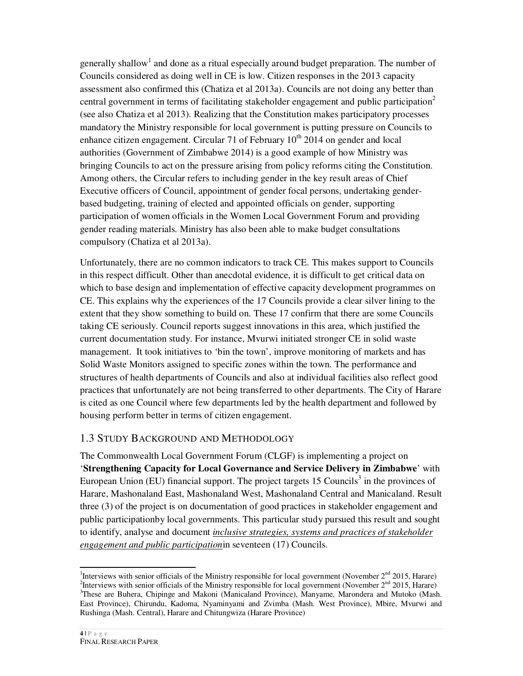generally shallow<sup>1</sup> and done as a ritual especially around budget preparation. The number of Councils considered as doing well in CE is low. Citizen responses in the 2013 capacity assessment also confirmed this (Chatiza et al 2013a). Councils are not doing any better than central government in terms of facilitating stakeholder engagement and public participation<sup>2</sup> (see also Chatiza et al 2013). Realizing that the Constitution makes participatory processes mandatory the Ministry responsible for local government is putting pressure on Councils to enhance citizen engagement. Circular 71 of February  $10^{th}$  2014 on gender and local authorities (Government of Zimbabwe 2014) is a good example of how Ministry was bringing Councils to act on the pressure arising from policy reforms citing the Constitution. Among others, the Circular refers to including gender in the key result areas of Chief Executive officers of Council, appointment of gender focal persons, undertaking genderbased budgeting, training of elected and appointed officials on gender, supporting participation of women officials in the Women Local Government Forum and providing gender reading materials. Ministry has also been able to make budget consultations compulsory (Chatiza et al 2013a).

Unfortunately, there are no common indicators to track CE. This makes support to Councils in this respect difficult. Other than anecdotal evidence, it is difficult to get critical data on which to base design and implementation of effective capacity development programmes on CE. This explains why the experiences of the 17 Councils provide a clear silver lining to the extent that they show something to build on. These 17 confirm that there are some Councils taking CE seriously. Council reports suggest innovations in this area, which justified the current documentation study. For instance, Mvurwi initiated stronger CE in solid waste management. It took initiatives to 'bin the town', improve monitoring of markets and has Solid Waste Monitors assigned to specific zones within the town. The performance and structures of health departments of Councils and also at individual facilities also reflect good practices that unfortunately are not being transferred to other departments. The City of Harare is cited as one Council where few departments led by the health department and followed by housing perform better in terms of citizen engagement.

## 1.3 STUDY BACKGROUND AND METHODOLOGY

The Commonwealth Local Government Forum (CLGF) is implementing a project on '**Strengthening Capacity for Local Governance and Service Delivery in Zimbabwe**' with European Union (EU) financial support. The project targets  $15$  Councils<sup>3</sup> in the provinces of Harare, Mashonaland East, Mashonaland West, Mashonaland Central and Manicaland. Result three (3) of the project is on documentation of good practices in stakeholder engagement and public participationby local governments. This particular study pursued this result and sought to identify, analyse and document *inclusive strategies, systems and practices of stakeholder engagement and public participation*in seventeen (17) Councils.

.

<sup>&</sup>lt;sup>1</sup>Interviews with senior officials of the Ministry responsible for local government (November  $2<sup>nd</sup>$  2015, Harare) <sup>2</sup>Interviews with senior officials of the Ministry responsible for local government (November  $2<sup>nd</sup>$  2015, Harare) <sup>3</sup>These are Buhera, Chipinge and Makoni (Manicaland Province), Manyame, Marondera and Mutoko (Mash. East Province), Chirundu, Kadoma, Nyaminyami and Zvimba (Mash. West Province), Mbire, Mvurwi and Rushinga (Mash. Central), Harare and Chitungwiza (Harare Province)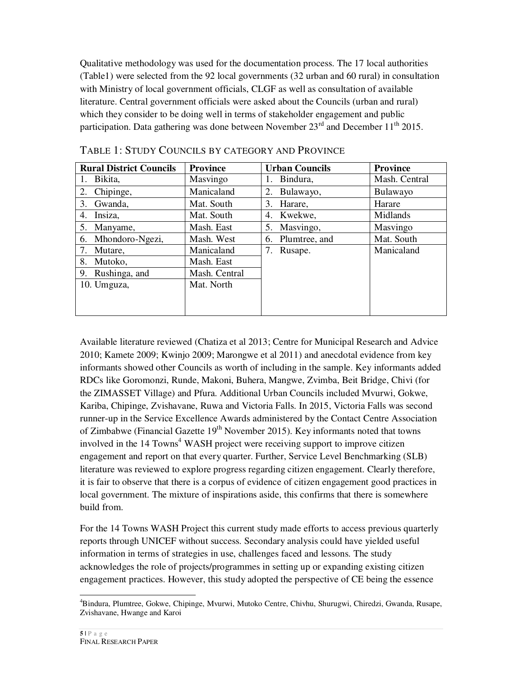Qualitative methodology was used for the documentation process. The 17 local authorities (Table1) were selected from the 92 local governments (32 urban and 60 rural) in consultation with Ministry of local government officials, CLGF as well as consultation of available literature. Central government officials were asked about the Councils (urban and rural) which they consider to be doing well in terms of stakeholder engagement and public participation. Data gathering was done between November  $23<sup>rd</sup>$  and December 11<sup>th</sup> 2015.

| <b>Rural District Councils</b> | <b>Province</b> | <b>Urban Councils</b> | <b>Province</b> |
|--------------------------------|-----------------|-----------------------|-----------------|
| Bikita,                        | Masvingo        | Bindura,              | Mash. Central   |
| Chipinge,<br>2.                | Manicaland      | 2.<br>Bulawayo,       | Bulawayo        |
| Gwanda,<br>3.                  | Mat. South      | Harare,<br>3.         | Harare          |
| Insiza,<br>4.                  | Mat. South      | 4. Kwekwe,            | Midlands        |
| 5. Manyame,                    | Mash. East      | 5. Masvingo,          | Masvingo        |
| 6. Mhondoro-Ngezi,             | Mash. West      | 6. Plumtree, and      | Mat. South      |
| Mutare,<br>7.                  | Manicaland      | Rusape.<br>7.         | Manicaland      |
| Mutoko,<br>8.                  | Mash. East      |                       |                 |
| Rushinga, and<br>9.            | Mash. Central   |                       |                 |
| 10. Umguza,                    | Mat. North      |                       |                 |
|                                |                 |                       |                 |
|                                |                 |                       |                 |

TABLE 1: STUDY COUNCILS BY CATEGORY AND PROVINCE

Available literature reviewed (Chatiza et al 2013; Centre for Municipal Research and Advice 2010; Kamete 2009; Kwinjo 2009; Marongwe et al 2011) and anecdotal evidence from key informants showed other Councils as worth of including in the sample. Key informants added RDCs like Goromonzi, Runde, Makoni, Buhera, Mangwe, Zvimba, Beit Bridge, Chivi (for the ZIMASSET Village) and Pfura. Additional Urban Councils included Mvurwi, Gokwe, Kariba, Chipinge, Zvishavane, Ruwa and Victoria Falls. In 2015, Victoria Falls was second runner-up in the Service Excellence Awards administered by the Contact Centre Association of Zimbabwe (Financial Gazette  $19<sup>th</sup>$  November 2015). Key informants noted that towns involved in the 14 Towns<sup>4</sup> WASH project were receiving support to improve citizen engagement and report on that every quarter. Further, Service Level Benchmarking (SLB) literature was reviewed to explore progress regarding citizen engagement. Clearly therefore, it is fair to observe that there is a corpus of evidence of citizen engagement good practices in local government. The mixture of inspirations aside, this confirms that there is somewhere build from.

For the 14 Towns WASH Project this current study made efforts to access previous quarterly reports through UNICEF without success. Secondary analysis could have yielded useful information in terms of strategies in use, challenges faced and lessons. The study acknowledges the role of projects/programmes in setting up or expanding existing citizen engagement practices. However, this study adopted the perspective of CE being the essence

 $\overline{a}$ 

<sup>4</sup>Bindura, Plumtree, Gokwe, Chipinge, Mvurwi, Mutoko Centre, Chivhu, Shurugwi, Chiredzi, Gwanda, Rusape, Zvishavane, Hwange and Karoi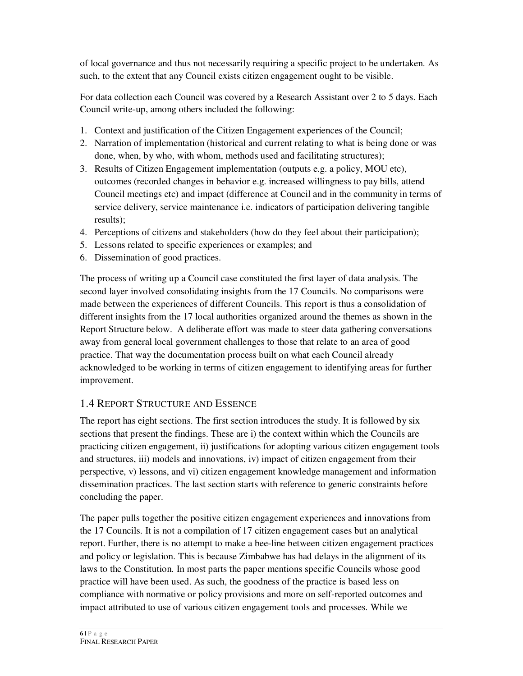of local governance and thus not necessarily requiring a specific project to be undertaken. As such, to the extent that any Council exists citizen engagement ought to be visible.

For data collection each Council was covered by a Research Assistant over 2 to 5 days. Each Council write-up, among others included the following:

- 1. Context and justification of the Citizen Engagement experiences of the Council;
- 2. Narration of implementation (historical and current relating to what is being done or was done, when, by who, with whom, methods used and facilitating structures);
- 3. Results of Citizen Engagement implementation (outputs e.g. a policy, MOU etc), outcomes (recorded changes in behavior e.g. increased willingness to pay bills, attend Council meetings etc) and impact (difference at Council and in the community in terms of service delivery, service maintenance i.e. indicators of participation delivering tangible results);
- 4. Perceptions of citizens and stakeholders (how do they feel about their participation);
- 5. Lessons related to specific experiences or examples; and
- 6. Dissemination of good practices.

The process of writing up a Council case constituted the first layer of data analysis. The second layer involved consolidating insights from the 17 Councils. No comparisons were made between the experiences of different Councils. This report is thus a consolidation of different insights from the 17 local authorities organized around the themes as shown in the Report Structure below. A deliberate effort was made to steer data gathering conversations away from general local government challenges to those that relate to an area of good practice. That way the documentation process built on what each Council already acknowledged to be working in terms of citizen engagement to identifying areas for further improvement.

## 1.4 REPORT STRUCTURE AND ESSENCE

The report has eight sections. The first section introduces the study. It is followed by six sections that present the findings. These are i) the context within which the Councils are practicing citizen engagement, ii) justifications for adopting various citizen engagement tools and structures, iii) models and innovations, iv) impact of citizen engagement from their perspective, v) lessons, and vi) citizen engagement knowledge management and information dissemination practices. The last section starts with reference to generic constraints before concluding the paper.

The paper pulls together the positive citizen engagement experiences and innovations from the 17 Councils. It is not a compilation of 17 citizen engagement cases but an analytical report. Further, there is no attempt to make a bee-line between citizen engagement practices and policy or legislation. This is because Zimbabwe has had delays in the alignment of its laws to the Constitution. In most parts the paper mentions specific Councils whose good practice will have been used. As such, the goodness of the practice is based less on compliance with normative or policy provisions and more on self-reported outcomes and impact attributed to use of various citizen engagement tools and processes. While we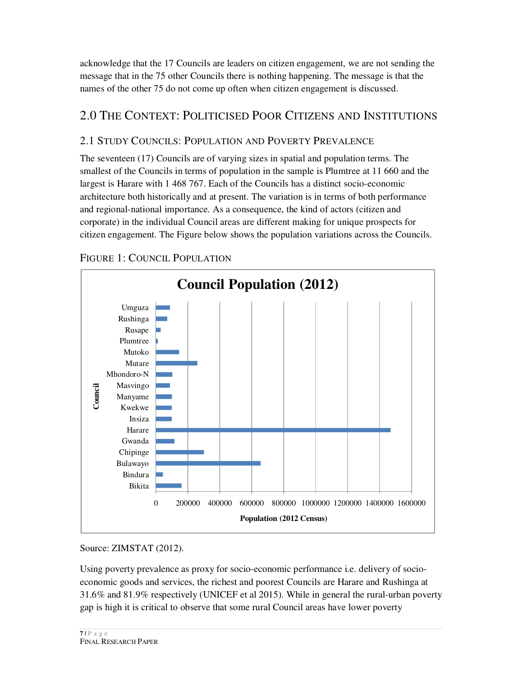acknowledge that the 17 Councils are leaders on citizen engagement, we are not sending the message that in the 75 other Councils there is nothing happening. The message is that the names of the other 75 do not come up often when citizen engagement is discussed.

## 2.0 THE CONTEXT: POLITICISED POOR CITIZENS AND INSTITUTIONS

## 2.1 STUDY COUNCILS: POPULATION AND POVERTY PREVALENCE

The seventeen (17) Councils are of varying sizes in spatial and population terms. The smallest of the Councils in terms of population in the sample is Plumtree at 11 660 and the largest is Harare with 1 468 767. Each of the Councils has a distinct socio-economic architecture both historically and at present. The variation is in terms of both performance and regional-national importance. As a consequence, the kind of actors (citizen and corporate) in the individual Council areas are different making for unique prospects for citizen engagement. The Figure below shows the population variations across the Councils.

## FIGURE 1: COUNCIL POPULATION



Source: ZIMSTAT (2012).

Using poverty prevalence as proxy for socio-economic performance i.e. delivery of socioeconomic goods and services, the richest and poorest Councils are Harare and Rushinga at 31.6% and 81.9% respectively (UNICEF et al 2015). While in general the rural-urban poverty gap is high it is critical to observe that some rural Council areas have lower poverty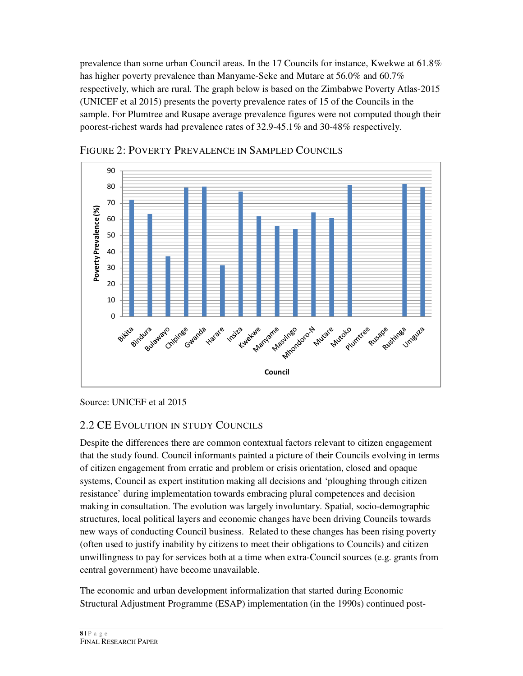prevalence than some urban Council areas. In the 17 Councils for instance, Kwekwe at 61.8% has higher poverty prevalence than Manyame-Seke and Mutare at 56.0% and 60.7% respectively, which are rural. The graph below is based on the Zimbabwe Poverty Atlas-2015 (UNICEF et al 2015) presents the poverty prevalence rates of 15 of the Councils in the sample. For Plumtree and Rusape average prevalence figures were not computed though their poorest-richest wards had prevalence rates of 32.9-45.1% and 30-48% respectively.



#### FIGURE 2: POVERTY PREVALENCE IN SAMPLED COUNCILS

Source: UNICEF et al 2015

#### 2.2 CE EVOLUTION IN STUDY COUNCILS

Despite the differences there are common contextual factors relevant to citizen engagement that the study found. Council informants painted a picture of their Councils evolving in terms of citizen engagement from erratic and problem or crisis orientation, closed and opaque systems, Council as expert institution making all decisions and 'ploughing through citizen resistance' during implementation towards embracing plural competences and decision making in consultation. The evolution was largely involuntary. Spatial, socio-demographic structures, local political layers and economic changes have been driving Councils towards new ways of conducting Council business. Related to these changes has been rising poverty (often used to justify inability by citizens to meet their obligations to Councils) and citizen unwillingness to pay for services both at a time when extra-Council sources (e.g. grants from central government) have become unavailable.

The economic and urban development informalization that started during Economic Structural Adjustment Programme (ESAP) implementation (in the 1990s) continued post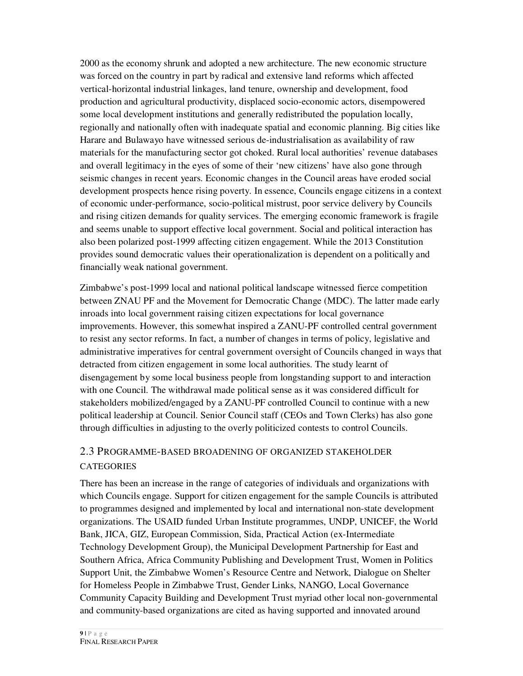2000 as the economy shrunk and adopted a new architecture. The new economic structure was forced on the country in part by radical and extensive land reforms which affected vertical-horizontal industrial linkages, land tenure, ownership and development, food production and agricultural productivity, displaced socio-economic actors, disempowered some local development institutions and generally redistributed the population locally, regionally and nationally often with inadequate spatial and economic planning. Big cities like Harare and Bulawayo have witnessed serious de-industrialisation as availability of raw materials for the manufacturing sector got choked. Rural local authorities' revenue databases and overall legitimacy in the eyes of some of their 'new citizens' have also gone through seismic changes in recent years. Economic changes in the Council areas have eroded social development prospects hence rising poverty. In essence, Councils engage citizens in a context of economic under-performance, socio-political mistrust, poor service delivery by Councils and rising citizen demands for quality services. The emerging economic framework is fragile and seems unable to support effective local government. Social and political interaction has also been polarized post-1999 affecting citizen engagement. While the 2013 Constitution provides sound democratic values their operationalization is dependent on a politically and financially weak national government.

Zimbabwe's post-1999 local and national political landscape witnessed fierce competition between ZNAU PF and the Movement for Democratic Change (MDC). The latter made early inroads into local government raising citizen expectations for local governance improvements. However, this somewhat inspired a ZANU-PF controlled central government to resist any sector reforms. In fact, a number of changes in terms of policy, legislative and administrative imperatives for central government oversight of Councils changed in ways that detracted from citizen engagement in some local authorities. The study learnt of disengagement by some local business people from longstanding support to and interaction with one Council. The withdrawal made political sense as it was considered difficult for stakeholders mobilized/engaged by a ZANU-PF controlled Council to continue with a new political leadership at Council. Senior Council staff (CEOs and Town Clerks) has also gone through difficulties in adjusting to the overly politicized contests to control Councils.

## 2.3 PROGRAMME-BASED BROADENING OF ORGANIZED STAKEHOLDER **CATEGORIES**

There has been an increase in the range of categories of individuals and organizations with which Councils engage. Support for citizen engagement for the sample Councils is attributed to programmes designed and implemented by local and international non-state development organizations. The USAID funded Urban Institute programmes, UNDP, UNICEF, the World Bank, JICA, GIZ, European Commission, Sida, Practical Action (ex-Intermediate Technology Development Group), the Municipal Development Partnership for East and Southern Africa, Africa Community Publishing and Development Trust, Women in Politics Support Unit, the Zimbabwe Women's Resource Centre and Network, Dialogue on Shelter for Homeless People in Zimbabwe Trust, Gender Links, NANGO, Local Governance Community Capacity Building and Development Trust myriad other local non-governmental and community-based organizations are cited as having supported and innovated around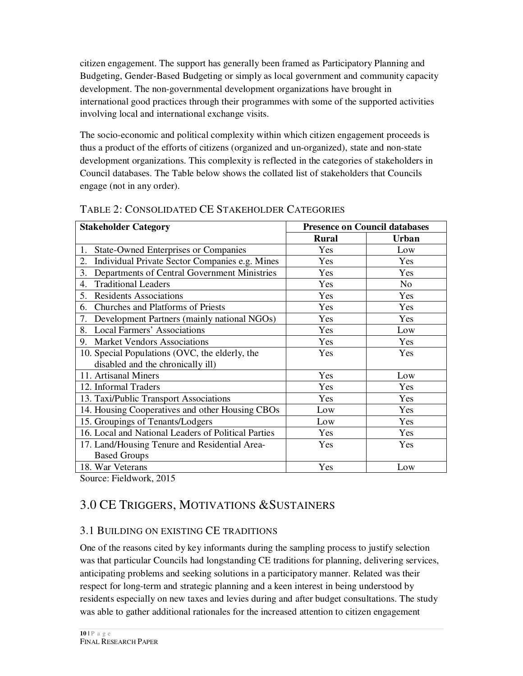citizen engagement. The support has generally been framed as Participatory Planning and Budgeting, Gender-Based Budgeting or simply as local government and community capacity development. The non-governmental development organizations have brought in international good practices through their programmes with some of the supported activities involving local and international exchange visits.

The socio-economic and political complexity within which citizen engagement proceeds is thus a product of the efforts of citizens (organized and un-organized), state and non-state development organizations. This complexity is reflected in the categories of stakeholders in Council databases. The Table below shows the collated list of stakeholders that Councils engage (not in any order).

| <b>Stakeholder Category</b>                          | <b>Presence on Council databases</b> |                |
|------------------------------------------------------|--------------------------------------|----------------|
|                                                      | <b>Rural</b>                         | <b>Urban</b>   |
| <b>State-Owned Enterprises or Companies</b><br>1.    | Yes                                  | Low            |
| Individual Private Sector Companies e.g. Mines<br>2. | Yes                                  | Yes            |
| 3.<br>Departments of Central Government Ministries   | Yes                                  | Yes            |
| <b>Traditional Leaders</b><br>4.                     | Yes                                  | N <sub>0</sub> |
| 5.<br><b>Residents Associations</b>                  | Yes                                  | Yes            |
| Churches and Platforms of Priests<br>6.              | Yes                                  | Yes            |
| Development Partners (mainly national NGOs)<br>7.    | Yes                                  | Yes            |
| <b>Local Farmers' Associations</b><br>8.             | Yes                                  | Low            |
| <b>Market Vendors Associations</b><br>9.             | Yes                                  | Yes            |
| 10. Special Populations (OVC, the elderly, the       | Yes                                  | Yes            |
| disabled and the chronically ill)                    |                                      |                |
| 11. Artisanal Miners                                 | Yes                                  | Low            |
| 12. Informal Traders                                 | Yes                                  | Yes            |
| 13. Taxi/Public Transport Associations               | Yes                                  | Yes            |
| 14. Housing Cooperatives and other Housing CBOs      | Low                                  | Yes            |
| 15. Groupings of Tenants/Lodgers                     | Low                                  | Yes            |
| 16. Local and National Leaders of Political Parties  | Yes                                  | Yes            |
| 17. Land/Housing Tenure and Residential Area-        | Yes                                  | Yes            |
| <b>Based Groups</b>                                  |                                      |                |
| 18. War Veterans                                     | Yes                                  | Low            |

#### TABLE 2: CONSOLIDATED CE STAKEHOLDER CATEGORIES

Source: Fieldwork, 2015

## 3.0 CE TRIGGERS, MOTIVATIONS &SUSTAINERS

## 3.1 BUILDING ON EXISTING CE TRADITIONS

One of the reasons cited by key informants during the sampling process to justify selection was that particular Councils had longstanding CE traditions for planning, delivering services, anticipating problems and seeking solutions in a participatory manner. Related was their respect for long-term and strategic planning and a keen interest in being understood by residents especially on new taxes and levies during and after budget consultations. The study was able to gather additional rationales for the increased attention to citizen engagement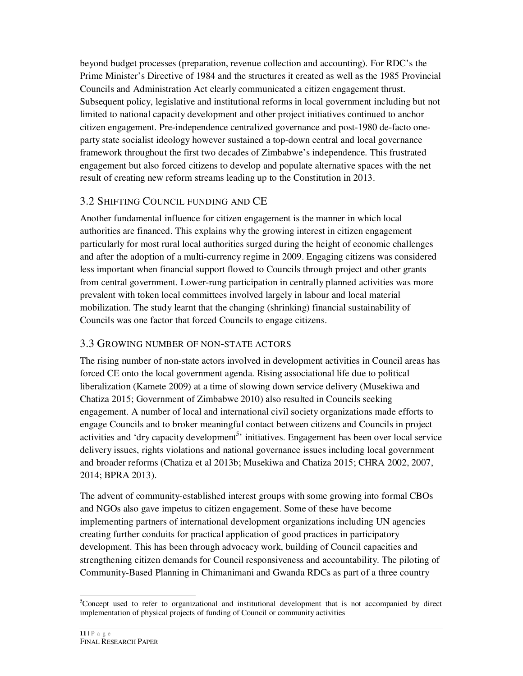beyond budget processes (preparation, revenue collection and accounting). For RDC's the Prime Minister's Directive of 1984 and the structures it created as well as the 1985 Provincial Councils and Administration Act clearly communicated a citizen engagement thrust. Subsequent policy, legislative and institutional reforms in local government including but not limited to national capacity development and other project initiatives continued to anchor citizen engagement. Pre-independence centralized governance and post-1980 de-facto oneparty state socialist ideology however sustained a top-down central and local governance framework throughout the first two decades of Zimbabwe's independence. This frustrated engagement but also forced citizens to develop and populate alternative spaces with the net result of creating new reform streams leading up to the Constitution in 2013.

## 3.2 SHIFTING COUNCIL FUNDING AND CE

Another fundamental influence for citizen engagement is the manner in which local authorities are financed. This explains why the growing interest in citizen engagement particularly for most rural local authorities surged during the height of economic challenges and after the adoption of a multi-currency regime in 2009. Engaging citizens was considered less important when financial support flowed to Councils through project and other grants from central government. Lower-rung participation in centrally planned activities was more prevalent with token local committees involved largely in labour and local material mobilization. The study learnt that the changing (shrinking) financial sustainability of Councils was one factor that forced Councils to engage citizens.

## 3.3 GROWING NUMBER OF NON-STATE ACTORS

The rising number of non-state actors involved in development activities in Council areas has forced CE onto the local government agenda. Rising associational life due to political liberalization (Kamete 2009) at a time of slowing down service delivery (Musekiwa and Chatiza 2015; Government of Zimbabwe 2010) also resulted in Councils seeking engagement. A number of local and international civil society organizations made efforts to engage Councils and to broker meaningful contact between citizens and Councils in project activities and 'dry capacity development<sup>5</sup>' initiatives. Engagement has been over local service delivery issues, rights violations and national governance issues including local government and broader reforms (Chatiza et al 2013b; Musekiwa and Chatiza 2015; CHRA 2002, 2007, 2014; BPRA 2013).

The advent of community-established interest groups with some growing into formal CBOs and NGOs also gave impetus to citizen engagement. Some of these have become implementing partners of international development organizations including UN agencies creating further conduits for practical application of good practices in participatory development. This has been through advocacy work, building of Council capacities and strengthening citizen demands for Council responsiveness and accountability. The piloting of Community-Based Planning in Chimanimani and Gwanda RDCs as part of a three country

 $\overline{a}$ 

<sup>&</sup>lt;sup>5</sup>Concept used to refer to organizational and institutional development that is not accompanied by direct implementation of physical projects of funding of Council or community activities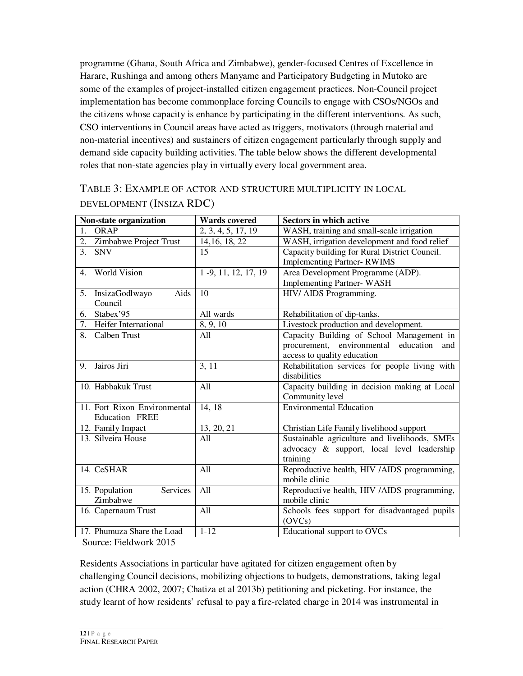programme (Ghana, South Africa and Zimbabwe), gender-focused Centres of Excellence in Harare, Rushinga and among others Manyame and Participatory Budgeting in Mutoko are some of the examples of project-installed citizen engagement practices. Non-Council project implementation has become commonplace forcing Councils to engage with CSOs/NGOs and the citizens whose capacity is enhance by participating in the different interventions. As such, CSO interventions in Council areas have acted as triggers, motivators (through material and non-material incentives) and sustainers of citizen engagement particularly through supply and demand side capacity building activities. The table below shows the different developmental roles that non-state agencies play in virtually every local government area.

TABLE 3: EXAMPLE OF ACTOR AND STRUCTURE MULTIPLICITY IN LOCAL DEVELOPMENT (INSIZA RDC)

| Non-state organization                | <b>Wards</b> covered | <b>Sectors in which active</b>                 |  |  |
|---------------------------------------|----------------------|------------------------------------------------|--|--|
| <b>ORAP</b><br>1.                     | 2, 3, 4, 5, 17, 19   | WASH, training and small-scale irrigation      |  |  |
| Zimbabwe Project Trust<br>2.          | 14, 16, 18, 22       | WASH, irrigation development and food relief   |  |  |
| 3.<br><b>SNV</b>                      | 15                   | Capacity building for Rural District Council.  |  |  |
|                                       |                      | <b>Implementing Partner- RWIMS</b>             |  |  |
| <b>World Vision</b><br>$\mathbf{4}$ . | 1 -9, 11, 12, 17, 19 | Area Development Programme (ADP).              |  |  |
|                                       |                      | <b>Implementing Partner-WASH</b>               |  |  |
| Aids<br>5. InsizaGodlwayo             | 10                   | HIV/ AIDS Programming.                         |  |  |
| Council                               |                      |                                                |  |  |
| Stabex'95<br>6.                       | All wards            | Rehabilitation of dip-tanks.                   |  |  |
| 7. Heifer International               | 8, 9, 10             | Livestock production and development.          |  |  |
| Calben Trust<br>8.                    | A11                  | Capacity Building of School Management in      |  |  |
|                                       |                      | procurement, environmental education<br>and    |  |  |
|                                       |                      | access to quality education                    |  |  |
| Jairos Jiri<br>9.                     | 3, 11                | Rehabilitation services for people living with |  |  |
|                                       |                      | disabilities                                   |  |  |
| 10. Habbakuk Trust                    | All                  | Capacity building in decision making at Local  |  |  |
|                                       |                      | Community level                                |  |  |
| 11. Fort Rixon Environmental          | 14, 18               | <b>Environmental Education</b>                 |  |  |
| <b>Education -FREE</b>                |                      |                                                |  |  |
| 12. Family Impact                     | 13, 20, 21           | Christian Life Family livelihood support       |  |  |
| 13. Silveira House                    | All                  | Sustainable agriculture and livelihoods, SMEs  |  |  |
|                                       |                      | advocacy & support, local level leadership     |  |  |
|                                       |                      | training                                       |  |  |
| 14. CeSHAR                            | All                  | Reproductive health, HIV /AIDS programming,    |  |  |
|                                       |                      | mobile clinic                                  |  |  |
| 15. Population<br>Services            | All                  | Reproductive health, HIV /AIDS programming,    |  |  |
| Zimbabwe                              |                      | mobile clinic                                  |  |  |
| 16. Capernaum Trust                   | All                  | Schools fees support for disadvantaged pupils  |  |  |
|                                       |                      | (OVCs)                                         |  |  |
| 17. Phumuza Share the Load            | $1 - 12$             | Educational support to OVCs                    |  |  |

Source: Fieldwork 2015

Residents Associations in particular have agitated for citizen engagement often by challenging Council decisions, mobilizing objections to budgets, demonstrations, taking legal action (CHRA 2002, 2007; Chatiza et al 2013b) petitioning and picketing. For instance, the study learnt of how residents' refusal to pay a fire-related charge in 2014 was instrumental in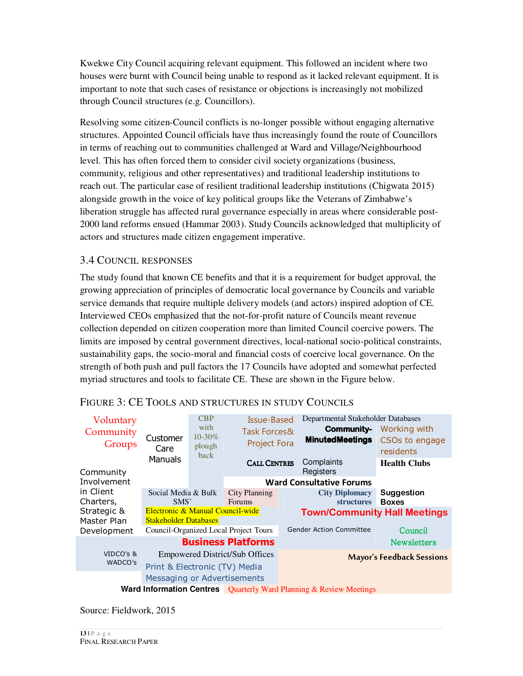Kwekwe City Council acquiring relevant equipment. This followed an incident where two houses were burnt with Council being unable to respond as it lacked relevant equipment. It is important to note that such cases of resistance or objections is increasingly not mobilized through Council structures (e.g. Councillors).

Resolving some citizen-Council conflicts is no-longer possible without engaging alternative structures. Appointed Council officials have thus increasingly found the route of Councillors in terms of reaching out to communities challenged at Ward and Village/Neighbourhood level. This has often forced them to consider civil society organizations (business, community, religious and other representatives) and traditional leadership institutions to reach out. The particular case of resilient traditional leadership institutions (Chigwata 2015) alongside growth in the voice of key political groups like the Veterans of Zimbabwe's liberation struggle has affected rural governance especially in areas where considerable post-2000 land reforms ensued (Hammar 2003). Study Councils acknowledged that multiplicity of actors and structures made citizen engagement imperative.

#### 3.4 COUNCIL RESPONSES

The study found that known CE benefits and that it is a requirement for budget approval, the growing appreciation of principles of democratic local governance by Councils and variable service demands that require multiple delivery models (and actors) inspired adoption of CE. Interviewed CEOs emphasized that the not-for-profit nature of Councils meant revenue collection depended on citizen cooperation more than limited Council coercive powers. The limits are imposed by central government directives, local-national socio-political constraints, sustainability gaps, the socio-moral and financial costs of coercive local governance. On the strength of both push and pull factors the 17 Councils have adopted and somewhat perfected myriad structures and tools to facilitate CE. These are shown in the Figure below.

| Voluntary<br>Community<br>Groups | Customer<br>Care                                                 | <b>CBP</b><br>with<br>$10 - 30\%$<br>plough<br>back | Issue-Based<br>Task Forces&<br><b>Project Fora</b> | Departmental Stakeholder Databases<br>Community-<br><b>MinutedMeetings</b>    | Working with<br>CSOs to engage<br>residents |
|----------------------------------|------------------------------------------------------------------|-----------------------------------------------------|----------------------------------------------------|-------------------------------------------------------------------------------|---------------------------------------------|
| Community                        | Manuals                                                          |                                                     | <b>CALL CENTRES</b>                                | Complaints<br>Registers                                                       | <b>Health Clubs</b>                         |
| Involvement                      |                                                                  |                                                     |                                                    | <b>Ward Consultative Forums</b>                                               |                                             |
| in Client<br>Charters,           | Social Media & Bulk<br>SMS'                                      |                                                     | <b>City Planning</b><br><b>Forums</b>              | <b>City Diplomacy</b><br><b>structures</b>                                    | <b>Suggestion</b><br><b>Boxes</b>           |
| Strategic &<br>Master Plan       | Electronic & Manual Council-wide<br><b>Stakeholder Databases</b> |                                                     |                                                    | <b>Town/Community Hall Meetings</b>                                           |                                             |
| Development                      |                                                                  |                                                     | Council-Organized Local Project Tours              | <b>Gender Action Committee</b>                                                | Council                                     |
| <b>Business Platforms</b>        |                                                                  |                                                     |                                                    | <b>Newsletters</b>                                                            |                                             |
| VIDCO's &                        |                                                                  |                                                     | <b>Empowered District/Sub Offices</b>              |                                                                               | <b>Mayor's Feedback Sessions</b>            |
| WADCO's                          | Print & Electronic (TV) Media                                    |                                                     |                                                    |                                                                               |                                             |
|                                  | Messaging or Advertisements                                      |                                                     |                                                    |                                                                               |                                             |
|                                  |                                                                  |                                                     |                                                    | <b>Ward Information Centres Quarterly Ward Planning &amp; Review Meetings</b> |                                             |

#### FIGURE 3: CE TOOLS AND STRUCTURES IN STUDY COUNCILS

Source: Fieldwork, 2015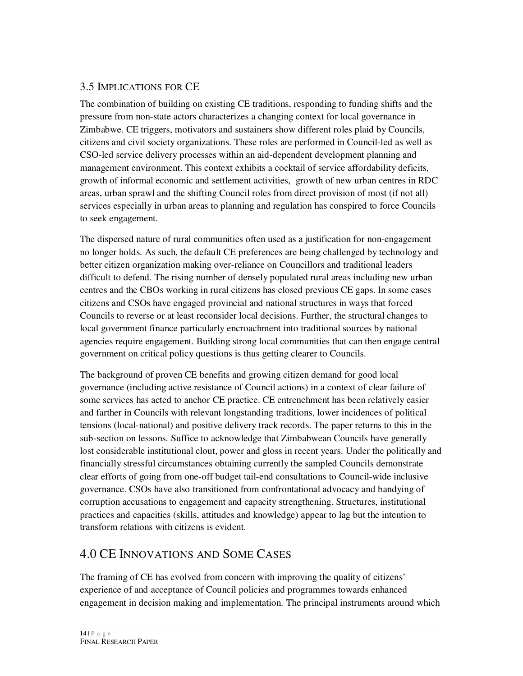## 3.5 IMPLICATIONS FOR CE

The combination of building on existing CE traditions, responding to funding shifts and the pressure from non-state actors characterizes a changing context for local governance in Zimbabwe. CE triggers, motivators and sustainers show different roles plaid by Councils, citizens and civil society organizations. These roles are performed in Council-led as well as CSO-led service delivery processes within an aid-dependent development planning and management environment. This context exhibits a cocktail of service affordability deficits, growth of informal economic and settlement activities, growth of new urban centres in RDC areas, urban sprawl and the shifting Council roles from direct provision of most (if not all) services especially in urban areas to planning and regulation has conspired to force Councils to seek engagement.

The dispersed nature of rural communities often used as a justification for non-engagement no longer holds. As such, the default CE preferences are being challenged by technology and better citizen organization making over-reliance on Councillors and traditional leaders difficult to defend. The rising number of densely populated rural areas including new urban centres and the CBOs working in rural citizens has closed previous CE gaps. In some cases citizens and CSOs have engaged provincial and national structures in ways that forced Councils to reverse or at least reconsider local decisions. Further, the structural changes to local government finance particularly encroachment into traditional sources by national agencies require engagement. Building strong local communities that can then engage central government on critical policy questions is thus getting clearer to Councils.

The background of proven CE benefits and growing citizen demand for good local governance (including active resistance of Council actions) in a context of clear failure of some services has acted to anchor CE practice. CE entrenchment has been relatively easier and farther in Councils with relevant longstanding traditions, lower incidences of political tensions (local-national) and positive delivery track records. The paper returns to this in the sub-section on lessons. Suffice to acknowledge that Zimbabwean Councils have generally lost considerable institutional clout, power and gloss in recent years. Under the politically and financially stressful circumstances obtaining currently the sampled Councils demonstrate clear efforts of going from one-off budget tail-end consultations to Council-wide inclusive governance. CSOs have also transitioned from confrontational advocacy and bandying of corruption accusations to engagement and capacity strengthening. Structures, institutional practices and capacities (skills, attitudes and knowledge) appear to lag but the intention to transform relations with citizens is evident.

## 4.0 CE INNOVATIONS AND SOME CASES

The framing of CE has evolved from concern with improving the quality of citizens' experience of and acceptance of Council policies and programmes towards enhanced engagement in decision making and implementation. The principal instruments around which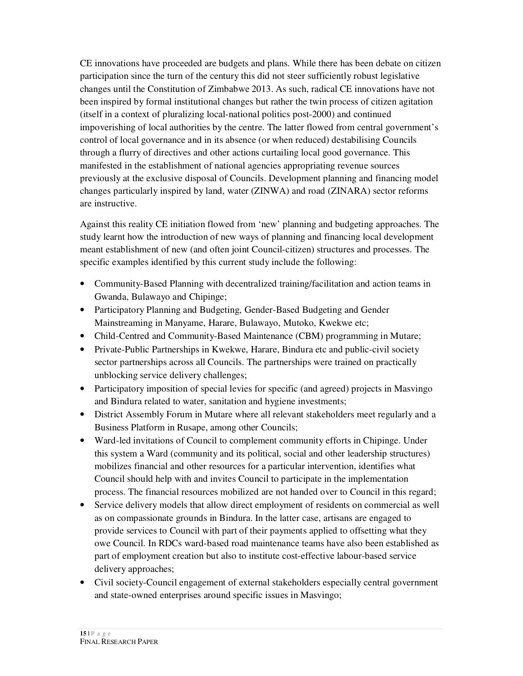CE innovations have proceeded are budgets and plans. While there has been debate on citizen participation since the turn of the century this did not steer sufficiently robust legislative changes until the Constitution of Zimbabwe 2013. As such, radical CE innovations have not been inspired by formal institutional changes but rather the twin process of citizen agitation (itself in a context of pluralizing local-national politics post-2000) and continued impoverishing of local authorities by the centre. The latter flowed from central government's control of local governance and in its absence (or when reduced) destabilising Councils through a flurry of directives and other actions curtailing local good governance. This manifested in the establishment of national agencies appropriating revenue sources previously at the exclusive disposal of Councils. Development planning and financing model changes particularly inspired by land, water (ZINWA) and road (ZINARA) sector reforms are instructive.

Against this reality CE initiation flowed from 'new' planning and budgeting approaches. The study learnt how the introduction of new ways of planning and financing local development meant establishment of new (and often joint Council-citizen) structures and processes. The specific examples identified by this current study include the following:

- Community-Based Planning with decentralized training/facilitation and action teams in Gwanda, Bulawayo and Chipinge;
- Participatory Planning and Budgeting, Gender-Based Budgeting and Gender Mainstreaming in Manyame, Harare, Bulawayo, Mutoko, Kwekwe etc;
- Child-Centred and Community-Based Maintenance (CBM) programming in Mutare;
- Private-Public Partnerships in Kwekwe, Harare, Bindura etc and public-civil society sector partnerships across all Councils. The partnerships were trained on practically unblocking service delivery challenges;
- Participatory imposition of special levies for specific (and agreed) projects in Masvingo and Bindura related to water, sanitation and hygiene investments;
- District Assembly Forum in Mutare where all relevant stakeholders meet regularly and a Business Platform in Rusape, among other Councils;
- Ward-led invitations of Council to complement community efforts in Chipinge. Under this system a Ward (community and its political, social and other leadership structures) mobilizes financial and other resources for a particular intervention, identifies what Council should help with and invites Council to participate in the implementation process. The financial resources mobilized are not handed over to Council in this regard;
- Service delivery models that allow direct employment of residents on commercial as well as on compassionate grounds in Bindura. In the latter case, artisans are engaged to provide services to Council with part of their payments applied to offsetting what they owe Council. In RDCs ward-based road maintenance teams have also been established as part of employment creation but also to institute cost-effective labour-based service delivery approaches;
- Civil society-Council engagement of external stakeholders especially central government and state-owned enterprises around specific issues in Masvingo;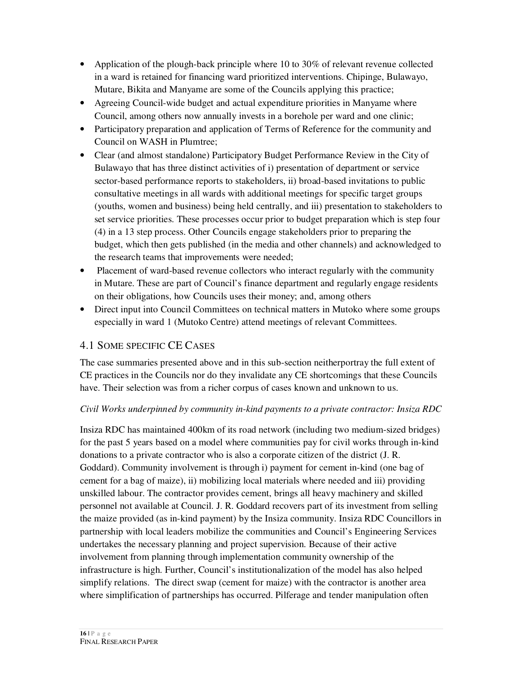- Application of the plough-back principle where 10 to 30% of relevant revenue collected in a ward is retained for financing ward prioritized interventions. Chipinge, Bulawayo, Mutare, Bikita and Manyame are some of the Councils applying this practice;
- Agreeing Council-wide budget and actual expenditure priorities in Manyame where Council, among others now annually invests in a borehole per ward and one clinic;
- Participatory preparation and application of Terms of Reference for the community and Council on WASH in Plumtree;
- Clear (and almost standalone) Participatory Budget Performance Review in the City of Bulawayo that has three distinct activities of i) presentation of department or service sector-based performance reports to stakeholders, ii) broad-based invitations to public consultative meetings in all wards with additional meetings for specific target groups (youths, women and business) being held centrally, and iii) presentation to stakeholders to set service priorities. These processes occur prior to budget preparation which is step four (4) in a 13 step process. Other Councils engage stakeholders prior to preparing the budget, which then gets published (in the media and other channels) and acknowledged to the research teams that improvements were needed;
- Placement of ward-based revenue collectors who interact regularly with the community in Mutare. These are part of Council's finance department and regularly engage residents on their obligations, how Councils uses their money; and, among others
- Direct input into Council Committees on technical matters in Mutoko where some groups especially in ward 1 (Mutoko Centre) attend meetings of relevant Committees.

## 4.1 SOME SPECIFIC CE CASES

The case summaries presented above and in this sub-section neitherportray the full extent of CE practices in the Councils nor do they invalidate any CE shortcomings that these Councils have. Their selection was from a richer corpus of cases known and unknown to us.

#### *Civil Works underpinned by community in-kind payments to a private contractor: Insiza RDC*

Insiza RDC has maintained 400km of its road network (including two medium-sized bridges) for the past 5 years based on a model where communities pay for civil works through in-kind donations to a private contractor who is also a corporate citizen of the district (J. R. Goddard). Community involvement is through i) payment for cement in-kind (one bag of cement for a bag of maize), ii) mobilizing local materials where needed and iii) providing unskilled labour. The contractor provides cement, brings all heavy machinery and skilled personnel not available at Council. J. R. Goddard recovers part of its investment from selling the maize provided (as in-kind payment) by the Insiza community. Insiza RDC Councillors in partnership with local leaders mobilize the communities and Council's Engineering Services undertakes the necessary planning and project supervision. Because of their active involvement from planning through implementation community ownership of the infrastructure is high. Further, Council's institutionalization of the model has also helped simplify relations. The direct swap (cement for maize) with the contractor is another area where simplification of partnerships has occurred. Pilferage and tender manipulation often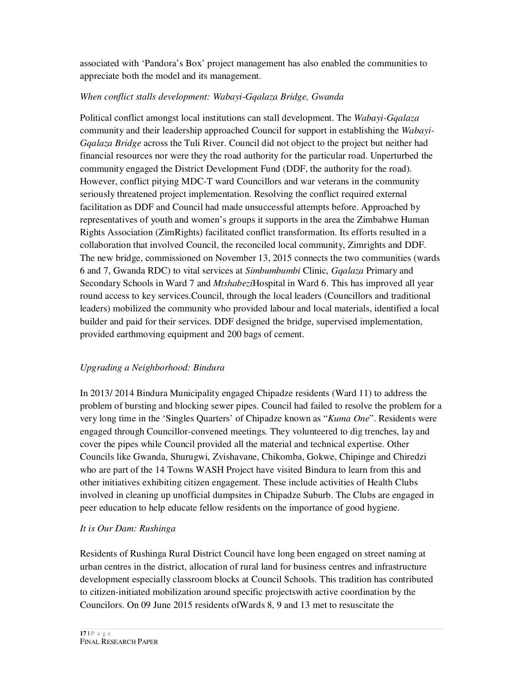associated with 'Pandora's Box' project management has also enabled the communities to appreciate both the model and its management.

#### *When conflict stalls development: Wabayi*-*Gqalaza Bridge, Gwanda*

Political conflict amongst local institutions can stall development. The *Wabayi-Gqalaza*  community and their leadership approached Council for support in establishing the *Wabayi-Gqalaza Bridge* across the Tuli River. Council did not object to the project but neither had financial resources nor were they the road authority for the particular road. Unperturbed the community engaged the District Development Fund (DDF, the authority for the road). However, conflict pitying MDC-T ward Councillors and war veterans in the community seriously threatened project implementation. Resolving the conflict required external facilitation as DDF and Council had made unsuccessful attempts before. Approached by representatives of youth and women's groups it supports in the area the Zimbabwe Human Rights Association (ZimRights) facilitated conflict transformation. Its efforts resulted in a collaboration that involved Council, the reconciled local community, Zimrights and DDF. The new bridge, commissioned on November 13, 2015 connects the two communities (wards 6 and 7, Gwanda RDC) to vital services at *Simbumbumbi* Clinic, *Gqalaza* Primary and Secondary Schools in Ward 7 and *Mtshabezi*Hospital in Ward 6. This has improved all year round access to key services.Council, through the local leaders (Councillors and traditional leaders) mobilized the community who provided labour and local materials, identified a local builder and paid for their services. DDF designed the bridge, supervised implementation, provided earthmoving equipment and 200 bags of cement.

#### *Upgrading a Neighborhood: Bindura*

In 2013/ 2014 Bindura Municipality engaged Chipadze residents (Ward 11) to address the problem of bursting and blocking sewer pipes. Council had failed to resolve the problem for a very long time in the 'Singles Quarters' of Chipadze known as "*Kuma One*". Residents were engaged through Councillor-convened meetings. They volunteered to dig trenches, lay and cover the pipes while Council provided all the material and technical expertise. Other Councils like Gwanda, Shurugwi, Zvishavane, Chikomba, Gokwe, Chipinge and Chiredzi who are part of the 14 Towns WASH Project have visited Bindura to learn from this and other initiatives exhibiting citizen engagement. These include activities of Health Clubs involved in cleaning up unofficial dumpsites in Chipadze Suburb. The Clubs are engaged in peer education to help educate fellow residents on the importance of good hygiene.

#### *It is Our Dam: Rushinga*

Residents of Rushinga Rural District Council have long been engaged on street naming at urban centres in the district, allocation of rural land for business centres and infrastructure development especially classroom blocks at Council Schools. This tradition has contributed to citizen-initiated mobilization around specific projectswith active coordination by the Councilors. On 09 June 2015 residents ofWards 8, 9 and 13 met to resuscitate the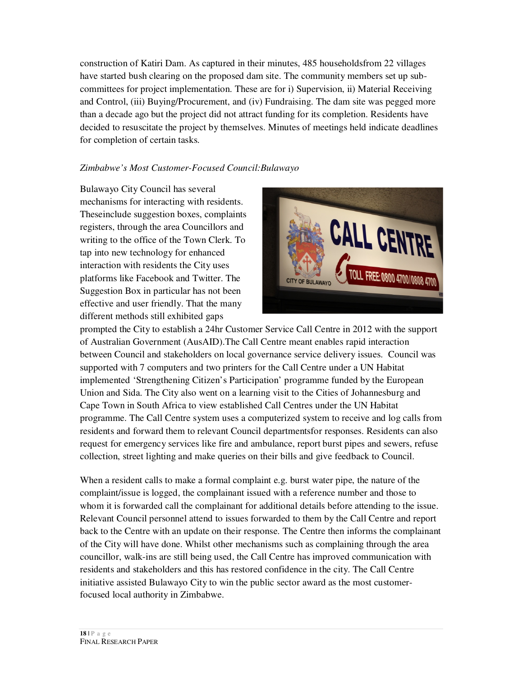construction of Katiri Dam. As captured in their minutes, 485 householdsfrom 22 villages have started bush clearing on the proposed dam site. The community members set up subcommittees for project implementation. These are for i) Supervision, ii) Material Receiving and Control, (iii) Buying/Procurement, and (iv) Fundraising. The dam site was pegged more than a decade ago but the project did not attract funding for its completion. Residents have decided to resuscitate the project by themselves. Minutes of meetings held indicate deadlines for completion of certain tasks.

#### *Zimbabwe's Most Customer-Focused Council:Bulawayo*

Bulawayo City Council has several mechanisms for interacting with residents. Theseinclude suggestion boxes, complaints registers, through the area Councillors and writing to the office of the Town Clerk. To tap into new technology for enhanced interaction with residents the City uses platforms like Facebook and Twitter. The Suggestion Box in particular has not been effective and user friendly. That the many different methods still exhibited gaps



prompted the City to establish a 24hr Customer Service Call Centre in 2012 with the support of Australian Government (AusAID).The Call Centre meant enables rapid interaction between Council and stakeholders on local governance service delivery issues. Council was supported with 7 computers and two printers for the Call Centre under a UN Habitat implemented 'Strengthening Citizen's Participation' programme funded by the European Union and Sida. The City also went on a learning visit to the Cities of Johannesburg and Cape Town in South Africa to view established Call Centres under the UN Habitat programme. The Call Centre system uses a computerized system to receive and log calls from residents and forward them to relevant Council departmentsfor responses. Residents can also request for emergency services like fire and ambulance, report burst pipes and sewers, refuse collection, street lighting and make queries on their bills and give feedback to Council.

When a resident calls to make a formal complaint e.g. burst water pipe, the nature of the complaint/issue is logged, the complainant issued with a reference number and those to whom it is forwarded call the complainant for additional details before attending to the issue. Relevant Council personnel attend to issues forwarded to them by the Call Centre and report back to the Centre with an update on their response. The Centre then informs the complainant of the City will have done. Whilst other mechanisms such as complaining through the area councillor, walk-ins are still being used, the Call Centre has improved communication with residents and stakeholders and this has restored confidence in the city. The Call Centre initiative assisted Bulawayo City to win the public sector award as the most customerfocused local authority in Zimbabwe.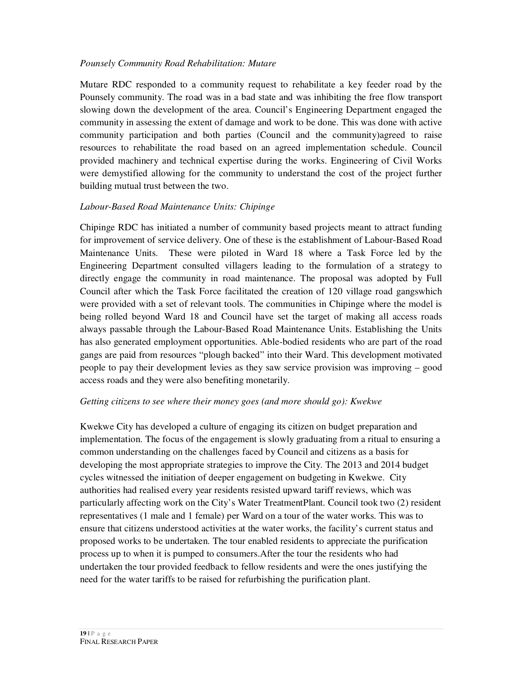#### *Pounsely Community Road Rehabilitation: Mutare*

Mutare RDC responded to a community request to rehabilitate a key feeder road by the Pounsely community. The road was in a bad state and was inhibiting the free flow transport slowing down the development of the area. Council's Engineering Department engaged the community in assessing the extent of damage and work to be done. This was done with active community participation and both parties (Council and the community)agreed to raise resources to rehabilitate the road based on an agreed implementation schedule. Council provided machinery and technical expertise during the works. Engineering of Civil Works were demystified allowing for the community to understand the cost of the project further building mutual trust between the two.

#### *Labour-Based Road Maintenance Units: Chipinge*

Chipinge RDC has initiated a number of community based projects meant to attract funding for improvement of service delivery. One of these is the establishment of Labour-Based Road Maintenance Units. These were piloted in Ward 18 where a Task Force led by the Engineering Department consulted villagers leading to the formulation of a strategy to directly engage the community in road maintenance. The proposal was adopted by Full Council after which the Task Force facilitated the creation of 120 village road gangswhich were provided with a set of relevant tools. The communities in Chipinge where the model is being rolled beyond Ward 18 and Council have set the target of making all access roads always passable through the Labour-Based Road Maintenance Units. Establishing the Units has also generated employment opportunities. Able-bodied residents who are part of the road gangs are paid from resources "plough backed" into their Ward. This development motivated people to pay their development levies as they saw service provision was improving – good access roads and they were also benefiting monetarily.

#### *Getting citizens to see where their money goes (and more should go): Kwekwe*

Kwekwe City has developed a culture of engaging its citizen on budget preparation and implementation. The focus of the engagement is slowly graduating from a ritual to ensuring a common understanding on the challenges faced by Council and citizens as a basis for developing the most appropriate strategies to improve the City. The 2013 and 2014 budget cycles witnessed the initiation of deeper engagement on budgeting in Kwekwe. City authorities had realised every year residents resisted upward tariff reviews, which was particularly affecting work on the City's Water TreatmentPlant. Council took two (2) resident representatives (1 male and 1 female) per Ward on a tour of the water works. This was to ensure that citizens understood activities at the water works, the facility's current status and proposed works to be undertaken. The tour enabled residents to appreciate the purification process up to when it is pumped to consumers.After the tour the residents who had undertaken the tour provided feedback to fellow residents and were the ones justifying the need for the water tariffs to be raised for refurbishing the purification plant.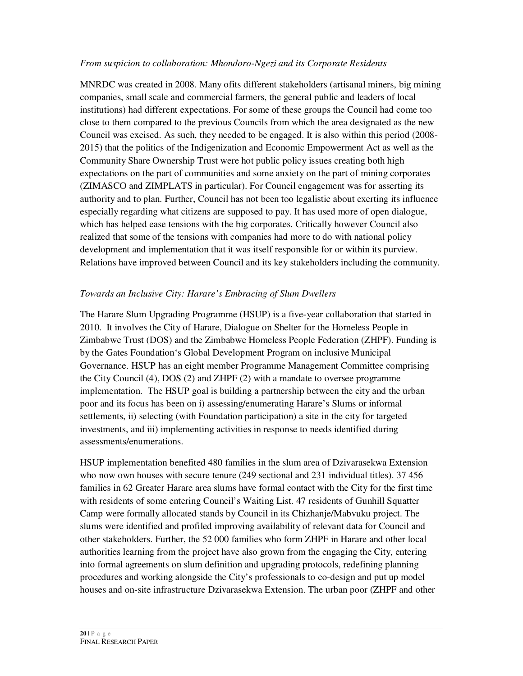#### *From suspicion to collaboration: Mhondoro-Ngezi and its Corporate Residents*

MNRDC was created in 2008. Many ofits different stakeholders (artisanal miners, big mining companies, small scale and commercial farmers, the general public and leaders of local institutions) had different expectations. For some of these groups the Council had come too close to them compared to the previous Councils from which the area designated as the new Council was excised. As such, they needed to be engaged. It is also within this period (2008- 2015) that the politics of the Indigenization and Economic Empowerment Act as well as the Community Share Ownership Trust were hot public policy issues creating both high expectations on the part of communities and some anxiety on the part of mining corporates (ZIMASCO and ZIMPLATS in particular). For Council engagement was for asserting its authority and to plan. Further, Council has not been too legalistic about exerting its influence especially regarding what citizens are supposed to pay. It has used more of open dialogue, which has helped ease tensions with the big corporates. Critically however Council also realized that some of the tensions with companies had more to do with national policy development and implementation that it was itself responsible for or within its purview. Relations have improved between Council and its key stakeholders including the community.

#### *Towards an Inclusive City: Harare's Embracing of Slum Dwellers*

The Harare Slum Upgrading Programme (HSUP) is a five-year collaboration that started in 2010. It involves the City of Harare, Dialogue on Shelter for the Homeless People in Zimbabwe Trust (DOS) and the Zimbabwe Homeless People Federation (ZHPF). Funding is by the Gates Foundation's Global Development Program on inclusive Municipal Governance. HSUP has an eight member Programme Management Committee comprising the City Council (4), DOS (2) and ZHPF (2) with a mandate to oversee programme implementation. The HSUP goal is building a partnership between the city and the urban poor and its focus has been on i) assessing/enumerating Harare's Slums or informal settlements, ii) selecting (with Foundation participation) a site in the city for targeted investments, and iii) implementing activities in response to needs identified during assessments/enumerations.

HSUP implementation benefited 480 families in the slum area of Dzivarasekwa Extension who now own houses with secure tenure (249 sectional and 231 individual titles). 37 456 families in 62 Greater Harare area slums have formal contact with the City for the first time with residents of some entering Council's Waiting List. 47 residents of Gunhill Squatter Camp were formally allocated stands by Council in its Chizhanje/Mabvuku project. The slums were identified and profiled improving availability of relevant data for Council and other stakeholders. Further, the 52 000 families who form ZHPF in Harare and other local authorities learning from the project have also grown from the engaging the City, entering into formal agreements on slum definition and upgrading protocols, redefining planning procedures and working alongside the City's professionals to co-design and put up model houses and on-site infrastructure Dzivarasekwa Extension. The urban poor (ZHPF and other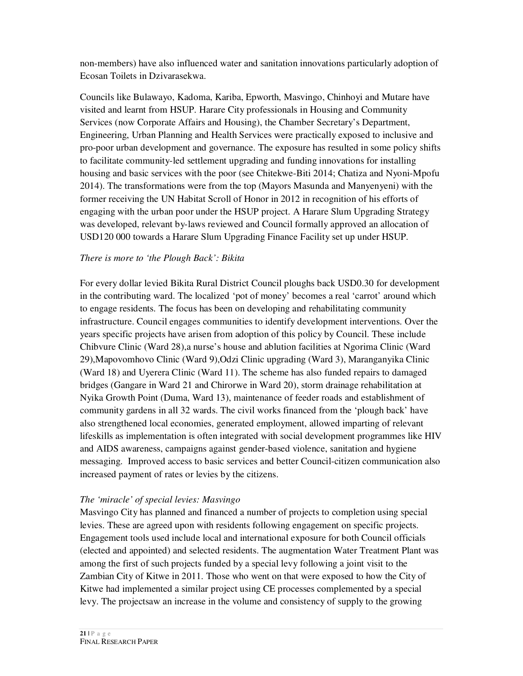non-members) have also influenced water and sanitation innovations particularly adoption of Ecosan Toilets in Dzivarasekwa.

Councils like Bulawayo, Kadoma, Kariba, Epworth, Masvingo, Chinhoyi and Mutare have visited and learnt from HSUP. Harare City professionals in Housing and Community Services (now Corporate Affairs and Housing), the Chamber Secretary's Department, Engineering, Urban Planning and Health Services were practically exposed to inclusive and pro-poor urban development and governance. The exposure has resulted in some policy shifts to facilitate community-led settlement upgrading and funding innovations for installing housing and basic services with the poor (see Chitekwe-Biti 2014; Chatiza and Nyoni-Mpofu 2014). The transformations were from the top (Mayors Masunda and Manyenyeni) with the former receiving the UN Habitat Scroll of Honor in 2012 in recognition of his efforts of engaging with the urban poor under the HSUP project. A Harare Slum Upgrading Strategy was developed, relevant by-laws reviewed and Council formally approved an allocation of USD120 000 towards a Harare Slum Upgrading Finance Facility set up under HSUP.

#### *There is more to 'the Plough Back': Bikita*

For every dollar levied Bikita Rural District Council ploughs back USD0.30 for development in the contributing ward. The localized 'pot of money' becomes a real 'carrot' around which to engage residents. The focus has been on developing and rehabilitating community infrastructure. Council engages communities to identify development interventions. Over the years specific projects have arisen from adoption of this policy by Council. These include Chibvure Clinic (Ward 28),a nurse's house and ablution facilities at Ngorima Clinic (Ward 29),Mapovomhovo Clinic (Ward 9),Odzi Clinic upgrading (Ward 3), Maranganyika Clinic (Ward 18) and Uyerera Clinic (Ward 11). The scheme has also funded repairs to damaged bridges (Gangare in Ward 21 and Chirorwe in Ward 20), storm drainage rehabilitation at Nyika Growth Point (Duma, Ward 13), maintenance of feeder roads and establishment of community gardens in all 32 wards. The civil works financed from the 'plough back' have also strengthened local economies, generated employment, allowed imparting of relevant lifeskills as implementation is often integrated with social development programmes like HIV and AIDS awareness, campaigns against gender-based violence, sanitation and hygiene messaging. Improved access to basic services and better Council-citizen communication also increased payment of rates or levies by the citizens.

#### *The 'miracle' of special levies: Masvingo*

Masvingo City has planned and financed a number of projects to completion using special levies. These are agreed upon with residents following engagement on specific projects. Engagement tools used include local and international exposure for both Council officials (elected and appointed) and selected residents. The augmentation Water Treatment Plant was among the first of such projects funded by a special levy following a joint visit to the Zambian City of Kitwe in 2011. Those who went on that were exposed to how the City of Kitwe had implemented a similar project using CE processes complemented by a special levy. The projectsaw an increase in the volume and consistency of supply to the growing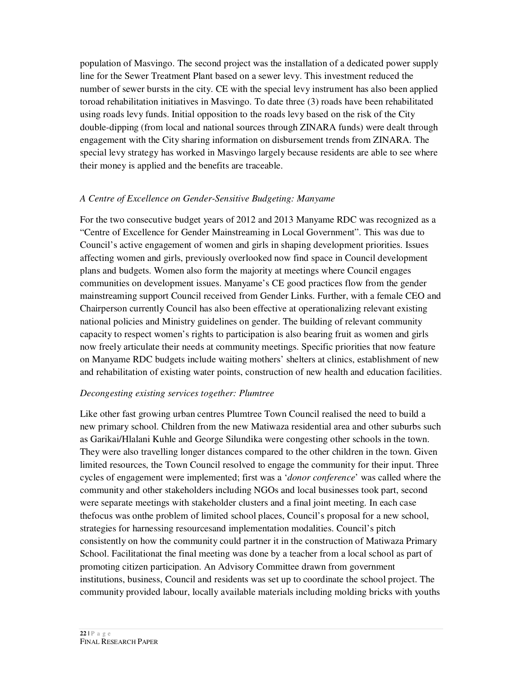population of Masvingo. The second project was the installation of a dedicated power supply line for the Sewer Treatment Plant based on a sewer levy. This investment reduced the number of sewer bursts in the city. CE with the special levy instrument has also been applied toroad rehabilitation initiatives in Masvingo. To date three (3) roads have been rehabilitated using roads levy funds. Initial opposition to the roads levy based on the risk of the City double-dipping (from local and national sources through ZINARA funds) were dealt through engagement with the City sharing information on disbursement trends from ZINARA. The special levy strategy has worked in Masvingo largely because residents are able to see where their money is applied and the benefits are traceable.

#### *A Centre of Excellence on Gender-Sensitive Budgeting: Manyame*

For the two consecutive budget years of 2012 and 2013 Manyame RDC was recognized as a "Centre of Excellence for Gender Mainstreaming in Local Government". This was due to Council's active engagement of women and girls in shaping development priorities. Issues affecting women and girls, previously overlooked now find space in Council development plans and budgets. Women also form the majority at meetings where Council engages communities on development issues. Manyame's CE good practices flow from the gender mainstreaming support Council received from Gender Links. Further, with a female CEO and Chairperson currently Council has also been effective at operationalizing relevant existing national policies and Ministry guidelines on gender. The building of relevant community capacity to respect women's rights to participation is also bearing fruit as women and girls now freely articulate their needs at community meetings. Specific priorities that now feature on Manyame RDC budgets include waiting mothers' shelters at clinics, establishment of new and rehabilitation of existing water points, construction of new health and education facilities.

#### *Decongesting existing services together: Plumtree*

Like other fast growing urban centres Plumtree Town Council realised the need to build a new primary school. Children from the new Matiwaza residential area and other suburbs such as Garikai/Hlalani Kuhle and George Silundika were congesting other schools in the town. They were also travelling longer distances compared to the other children in the town. Given limited resources, the Town Council resolved to engage the community for their input. Three cycles of engagement were implemented; first was a '*donor conference*' was called where the community and other stakeholders including NGOs and local businesses took part, second were separate meetings with stakeholder clusters and a final joint meeting. In each case thefocus was onthe problem of limited school places, Council's proposal for a new school, strategies for harnessing resourcesand implementation modalities. Council's pitch consistently on how the community could partner it in the construction of Matiwaza Primary School. Facilitationat the final meeting was done by a teacher from a local school as part of promoting citizen participation. An Advisory Committee drawn from government institutions, business, Council and residents was set up to coordinate the school project. The community provided labour, locally available materials including molding bricks with youths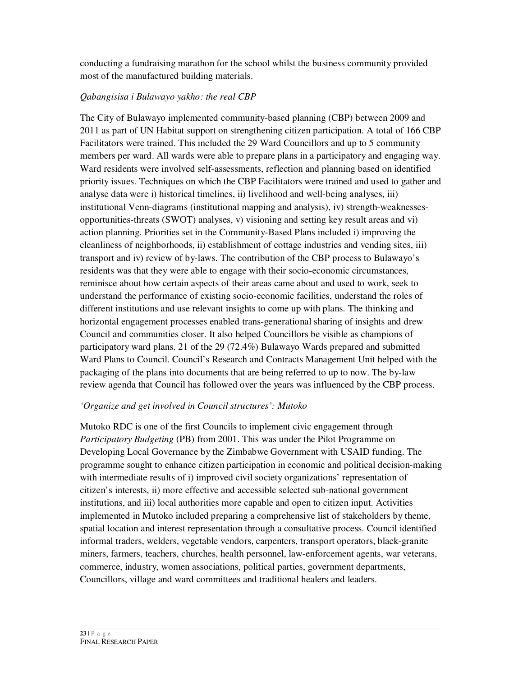conducting a fundraising marathon for the school whilst the business community provided most of the manufactured building materials.

#### *Qabangisisa i Bulawayo yakho: the real CBP*

The City of Bulawayo implemented community-based planning (CBP) between 2009 and 2011 as part of UN Habitat support on strengthening citizen participation. A total of 166 CBP Facilitators were trained. This included the 29 Ward Councillors and up to 5 community members per ward. All wards were able to prepare plans in a participatory and engaging way. Ward residents were involved self-assessments, reflection and planning based on identified priority issues. Techniques on which the CBP Facilitators were trained and used to gather and analyse data were i) historical timelines, ii) livelihood and well-being analyses, iii) institutional Venn-diagrams (institutional mapping and analysis), iv) strength-weaknessesopportunities-threats (SWOT) analyses, v) visioning and setting key result areas and vi) action planning. Priorities set in the Community-Based Plans included i) improving the cleanliness of neighborhoods, ii) establishment of cottage industries and vending sites, iii) transport and iv) review of by-laws. The contribution of the CBP process to Bulawayo's residents was that they were able to engage with their socio-economic circumstances, reminisce about how certain aspects of their areas came about and used to work, seek to understand the performance of existing socio-economic facilities, understand the roles of different institutions and use relevant insights to come up with plans. The thinking and horizontal engagement processes enabled trans-generational sharing of insights and drew Council and communities closer. It also helped Councillors be visible as champions of participatory ward plans. 21 of the 29 (72.4%) Bulawayo Wards prepared and submitted Ward Plans to Council. Council's Research and Contracts Management Unit helped with the packaging of the plans into documents that are being referred to up to now. The by-law review agenda that Council has followed over the years was influenced by the CBP process.

#### *'Organize and get involved in Council structures': Mutoko*

Mutoko RDC is one of the first Councils to implement civic engagement through *Participatory Budgeting* (PB) from 2001. This was under the Pilot Programme on Developing Local Governance by the Zimbabwe Government with USAID funding. The programme sought to enhance citizen participation in economic and political decision-making with intermediate results of i) improved civil society organizations' representation of citizen's interests, ii) more effective and accessible selected sub-national government institutions, and iii) local authorities more capable and open to citizen input. Activities implemented in Mutoko included preparing a comprehensive list of stakeholders by theme, spatial location and interest representation through a consultative process. Council identified informal traders, welders, vegetable vendors, carpenters, transport operators, black-granite miners, farmers, teachers, churches, health personnel, law-enforcement agents, war veterans, commerce, industry, women associations, political parties, government departments, Councillors, village and ward committees and traditional healers and leaders.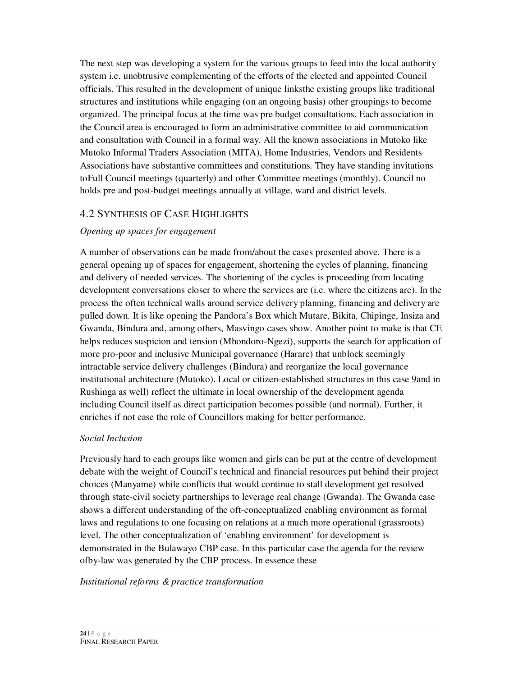The next step was developing a system for the various groups to feed into the local authority system i.e. unobtrusive complementing of the efforts of the elected and appointed Council officials. This resulted in the development of unique linksthe existing groups like traditional structures and institutions while engaging (on an ongoing basis) other groupings to become organized. The principal focus at the time was pre budget consultations. Each association in the Council area is encouraged to form an administrative committee to aid communication and consultation with Council in a formal way. All the known associations in Mutoko like Mutoko Informal Traders Association (MITA), Home Industries, Vendors and Residents Associations have substantive committees and constitutions. They have standing invitations toFull Council meetings (quarterly) and other Committee meetings (monthly). Council no holds pre and post-budget meetings annually at village, ward and district levels.

#### 4.2 SYNTHESIS OF CASE HIGHLIGHTS

#### *Opening up spaces for engagement*

A number of observations can be made from/about the cases presented above. There is a general opening up of spaces for engagement, shortening the cycles of planning, financing and delivery of needed services. The shortening of the cycles is proceeding from locating development conversations closer to where the services are (i.e. where the citizens are). In the process the often technical walls around service delivery planning, financing and delivery are pulled down. It is like opening the Pandora's Box which Mutare, Bikita, Chipinge, Insiza and Gwanda, Bindura and, among others, Masvingo cases show. Another point to make is that CE helps reduces suspicion and tension (Mhondoro-Ngezi), supports the search for application of more pro-poor and inclusive Municipal governance (Harare) that unblock seemingly intractable service delivery challenges (Bindura) and reorganize the local governance institutional architecture (Mutoko). Local or citizen-established structures in this case 9and in Rushinga as well) reflect the ultimate in local ownership of the development agenda including Council itself as direct participation becomes possible (and normal). Further, it enriches if not ease the role of Councillors making for better performance.

#### *Social Inclusion*

Previously hard to each groups like women and girls can be put at the centre of development debate with the weight of Council's technical and financial resources put behind their project choices (Manyame) while conflicts that would continue to stall development get resolved through state-civil society partnerships to leverage real change (Gwanda). The Gwanda case shows a different understanding of the oft-conceptualized enabling environment as formal laws and regulations to one focusing on relations at a much more operational (grassroots) level. The other conceptualization of 'enabling environment' for development is demonstrated in the Bulawayo CBP case. In this particular case the agenda for the review ofby-law was generated by the CBP process. In essence these

#### *Institutional reforms & practice transformation*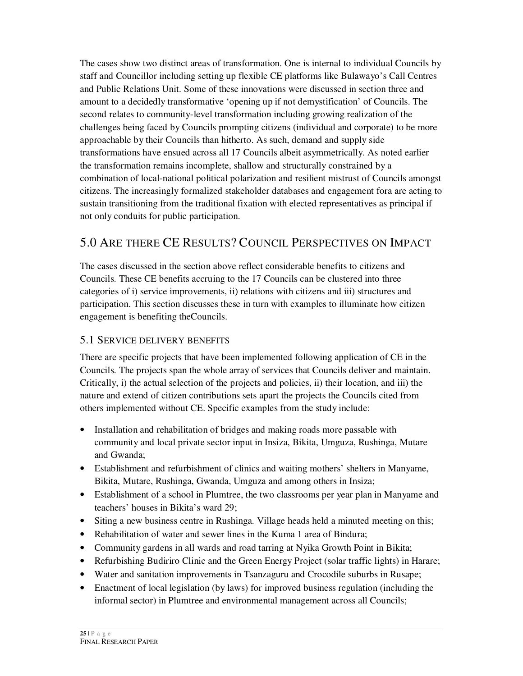The cases show two distinct areas of transformation. One is internal to individual Councils by staff and Councillor including setting up flexible CE platforms like Bulawayo's Call Centres and Public Relations Unit. Some of these innovations were discussed in section three and amount to a decidedly transformative 'opening up if not demystification' of Councils. The second relates to community-level transformation including growing realization of the challenges being faced by Councils prompting citizens (individual and corporate) to be more approachable by their Councils than hitherto. As such, demand and supply side transformations have ensued across all 17 Councils albeit asymmetrically. As noted earlier the transformation remains incomplete, shallow and structurally constrained by a combination of local-national political polarization and resilient mistrust of Councils amongst citizens. The increasingly formalized stakeholder databases and engagement fora are acting to sustain transitioning from the traditional fixation with elected representatives as principal if not only conduits for public participation.

## 5.0 ARE THERE CE RESULTS? COUNCIL PERSPECTIVES ON IMPACT

The cases discussed in the section above reflect considerable benefits to citizens and Councils. These CE benefits accruing to the 17 Councils can be clustered into three categories of i) service improvements, ii) relations with citizens and iii) structures and participation. This section discusses these in turn with examples to illuminate how citizen engagement is benefiting theCouncils.

## 5.1 SERVICE DELIVERY BENEFITS

There are specific projects that have been implemented following application of CE in the Councils. The projects span the whole array of services that Councils deliver and maintain. Critically, i) the actual selection of the projects and policies, ii) their location, and iii) the nature and extend of citizen contributions sets apart the projects the Councils cited from others implemented without CE. Specific examples from the study include:

- Installation and rehabilitation of bridges and making roads more passable with community and local private sector input in Insiza, Bikita, Umguza, Rushinga, Mutare and Gwanda;
- Establishment and refurbishment of clinics and waiting mothers' shelters in Manyame, Bikita, Mutare, Rushinga, Gwanda, Umguza and among others in Insiza;
- Establishment of a school in Plumtree, the two classrooms per year plan in Manyame and teachers' houses in Bikita's ward 29;
- Siting a new business centre in Rushinga. Village heads held a minuted meeting on this;
- Rehabilitation of water and sewer lines in the Kuma 1 area of Bindura;
- Community gardens in all wards and road tarring at Nyika Growth Point in Bikita;
- Refurbishing Budiriro Clinic and the Green Energy Project (solar traffic lights) in Harare;
- Water and sanitation improvements in Tsanzaguru and Crocodile suburbs in Rusape;
- Enactment of local legislation (by laws) for improved business regulation (including the informal sector) in Plumtree and environmental management across all Councils;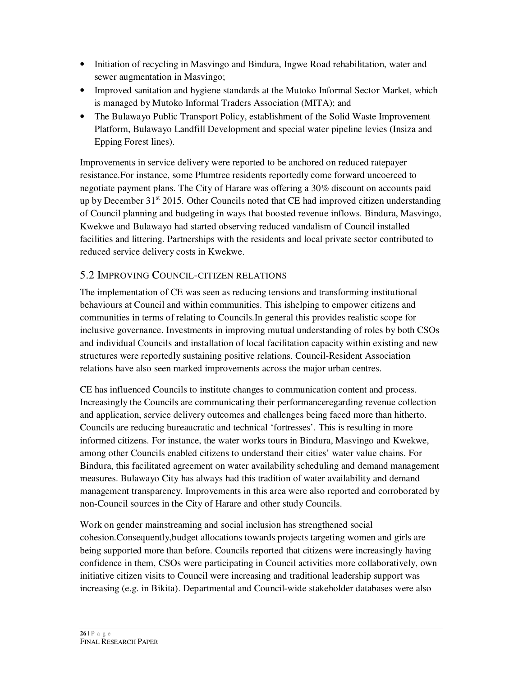- Initiation of recycling in Masvingo and Bindura, Ingwe Road rehabilitation, water and sewer augmentation in Masvingo;
- Improved sanitation and hygiene standards at the Mutoko Informal Sector Market, which is managed by Mutoko Informal Traders Association (MITA); and
- The Bulawayo Public Transport Policy, establishment of the Solid Waste Improvement Platform, Bulawayo Landfill Development and special water pipeline levies (Insiza and Epping Forest lines).

Improvements in service delivery were reported to be anchored on reduced ratepayer resistance.For instance, some Plumtree residents reportedly come forward uncoerced to negotiate payment plans. The City of Harare was offering a 30% discount on accounts paid up by December  $31<sup>st</sup>$  2015. Other Councils noted that CE had improved citizen understanding of Council planning and budgeting in ways that boosted revenue inflows. Bindura, Masvingo, Kwekwe and Bulawayo had started observing reduced vandalism of Council installed facilities and littering. Partnerships with the residents and local private sector contributed to reduced service delivery costs in Kwekwe.

#### 5.2 IMPROVING COUNCIL-CITIZEN RELATIONS

The implementation of CE was seen as reducing tensions and transforming institutional behaviours at Council and within communities. This ishelping to empower citizens and communities in terms of relating to Councils.In general this provides realistic scope for inclusive governance. Investments in improving mutual understanding of roles by both CSOs and individual Councils and installation of local facilitation capacity within existing and new structures were reportedly sustaining positive relations. Council-Resident Association relations have also seen marked improvements across the major urban centres.

CE has influenced Councils to institute changes to communication content and process. Increasingly the Councils are communicating their performanceregarding revenue collection and application, service delivery outcomes and challenges being faced more than hitherto. Councils are reducing bureaucratic and technical 'fortresses'. This is resulting in more informed citizens. For instance, the water works tours in Bindura, Masvingo and Kwekwe, among other Councils enabled citizens to understand their cities' water value chains. For Bindura, this facilitated agreement on water availability scheduling and demand management measures. Bulawayo City has always had this tradition of water availability and demand management transparency. Improvements in this area were also reported and corroborated by non-Council sources in the City of Harare and other study Councils.

Work on gender mainstreaming and social inclusion has strengthened social cohesion.Consequently,budget allocations towards projects targeting women and girls are being supported more than before. Councils reported that citizens were increasingly having confidence in them, CSOs were participating in Council activities more collaboratively, own initiative citizen visits to Council were increasing and traditional leadership support was increasing (e.g. in Bikita). Departmental and Council-wide stakeholder databases were also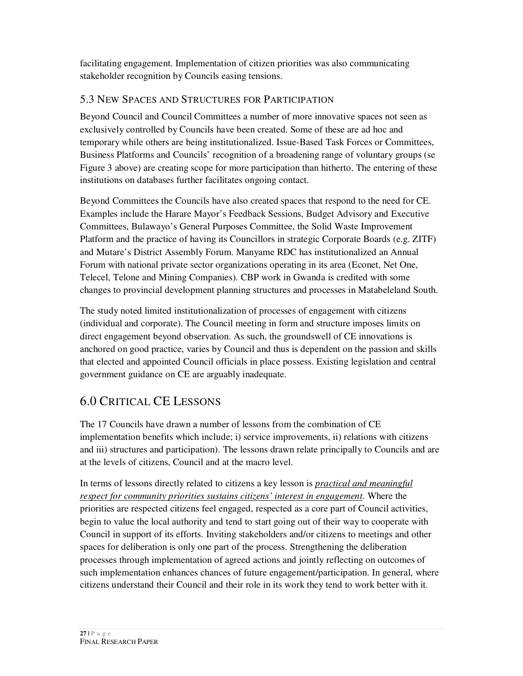facilitating engagement. Implementation of citizen priorities was also communicating stakeholder recognition by Councils easing tensions.

## 5.3 NEW SPACES AND STRUCTURES FOR PARTICIPATION

Beyond Council and Council Committees a number of more innovative spaces not seen as exclusively controlled by Councils have been created. Some of these are ad hoc and temporary while others are being institutionalized. Issue-Based Task Forces or Committees, Business Platforms and Councils' recognition of a broadening range of voluntary groups (se Figure 3 above) are creating scope for more participation than hitherto. The entering of these institutions on databases further facilitates ongoing contact.

Beyond Committees the Councils have also created spaces that respond to the need for CE. Examples include the Harare Mayor's Feedback Sessions, Budget Advisory and Executive Committees, Bulawayo's General Purposes Committee, the Solid Waste Improvement Platform and the practice of having its Councillors in strategic Corporate Boards (e.g. ZITF) and Mutare's District Assembly Forum. Manyame RDC has institutionalized an Annual Forum with national private sector organizations operating in its area (Econet, Net One, Telecel, Telone and Mining Companies). CBP work in Gwanda is credited with some changes to provincial development planning structures and processes in Matabeleland South.

The study noted limited institutionalization of processes of engagement with citizens (individual and corporate). The Council meeting in form and structure imposes limits on direct engagement beyond observation. As such, the groundswell of CE innovations is anchored on good practice, varies by Council and thus is dependent on the passion and skills that elected and appointed Council officials in place possess. Existing legislation and central government guidance on CE are arguably inadequate.

## 6.0 CRITICAL CE LESSONS

The 17 Councils have drawn a number of lessons from the combination of CE implementation benefits which include; i) service improvements, ii) relations with citizens and iii) structures and participation). The lessons drawn relate principally to Councils and are at the levels of citizens, Council and at the macro level.

In terms of lessons directly related to citizens a key lesson is *practical and meaningful respect for community priorities sustains citizens' interest in engagement*. Where the priorities are respected citizens feel engaged, respected as a core part of Council activities, begin to value the local authority and tend to start going out of their way to cooperate with Council in support of its efforts. Inviting stakeholders and/or citizens to meetings and other spaces for deliberation is only one part of the process. Strengthening the deliberation processes through implementation of agreed actions and jointly reflecting on outcomes of such implementation enhances chances of future engagement/participation. In general, where citizens understand their Council and their role in its work they tend to work better with it.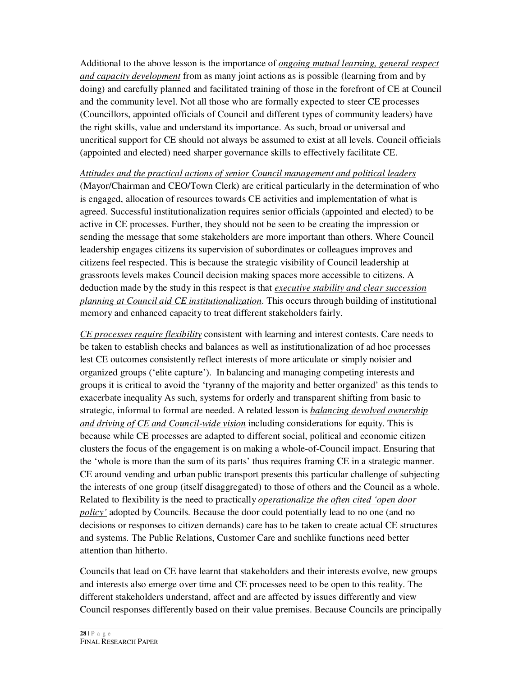Additional to the above lesson is the importance of *ongoing mutual learning, general respect and capacity development* from as many joint actions as is possible (learning from and by doing) and carefully planned and facilitated training of those in the forefront of CE at Council and the community level. Not all those who are formally expected to steer CE processes (Councillors, appointed officials of Council and different types of community leaders) have the right skills, value and understand its importance. As such, broad or universal and uncritical support for CE should not always be assumed to exist at all levels. Council officials (appointed and elected) need sharper governance skills to effectively facilitate CE.

*Attitudes and the practical actions of senior Council management and political leaders* (Mayor/Chairman and CEO/Town Clerk) are critical particularly in the determination of who is engaged, allocation of resources towards CE activities and implementation of what is agreed. Successful institutionalization requires senior officials (appointed and elected) to be active in CE processes. Further, they should not be seen to be creating the impression or sending the message that some stakeholders are more important than others. Where Council leadership engages citizens its supervision of subordinates or colleagues improves and citizens feel respected. This is because the strategic visibility of Council leadership at grassroots levels makes Council decision making spaces more accessible to citizens. A deduction made by the study in this respect is that *executive stability and clear succession planning at Council aid CE institutionalization*. This occurs through building of institutional memory and enhanced capacity to treat different stakeholders fairly.

*CE processes require flexibility* consistent with learning and interest contests. Care needs to be taken to establish checks and balances as well as institutionalization of ad hoc processes lest CE outcomes consistently reflect interests of more articulate or simply noisier and organized groups ('elite capture'). In balancing and managing competing interests and groups it is critical to avoid the 'tyranny of the majority and better organized' as this tends to exacerbate inequality As such, systems for orderly and transparent shifting from basic to strategic, informal to formal are needed. A related lesson is *balancing devolved ownership and driving of CE and Council-wide vision* including considerations for equity. This is because while CE processes are adapted to different social, political and economic citizen clusters the focus of the engagement is on making a whole-of-Council impact. Ensuring that the 'whole is more than the sum of its parts' thus requires framing CE in a strategic manner. CE around vending and urban public transport presents this particular challenge of subjecting the interests of one group (itself disaggregated) to those of others and the Council as a whole. Related to flexibility is the need to practically *operationalize the often cited 'open door policy'* adopted by Councils. Because the door could potentially lead to no one (and no decisions or responses to citizen demands) care has to be taken to create actual CE structures and systems. The Public Relations, Customer Care and suchlike functions need better attention than hitherto.

Councils that lead on CE have learnt that stakeholders and their interests evolve, new groups and interests also emerge over time and CE processes need to be open to this reality. The different stakeholders understand, affect and are affected by issues differently and view Council responses differently based on their value premises. Because Councils are principally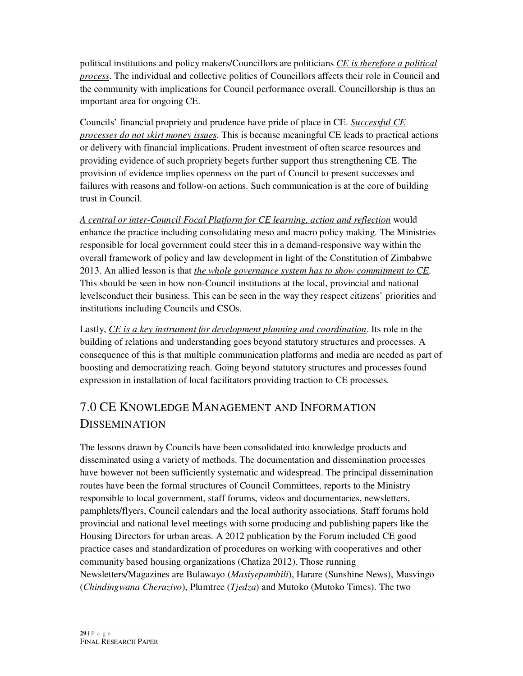political institutions and policy makers/Councillors are politicians *CE is therefore a political process*. The individual and collective politics of Councillors affects their role in Council and the community with implications for Council performance overall. Councillorship is thus an important area for ongoing CE.

Councils' financial propriety and prudence have pride of place in CE. *Successful CE processes do not skirt money issues*. This is because meaningful CE leads to practical actions or delivery with financial implications. Prudent investment of often scarce resources and providing evidence of such propriety begets further support thus strengthening CE. The provision of evidence implies openness on the part of Council to present successes and failures with reasons and follow-on actions. Such communication is at the core of building trust in Council.

*A central or inter-Council Focal Platform for CE learning, action and reflection* would enhance the practice including consolidating meso and macro policy making. The Ministries responsible for local government could steer this in a demand-responsive way within the overall framework of policy and law development in light of the Constitution of Zimbabwe 2013. An allied lesson is that *the whole governance system has to show commitment to CE*. This should be seen in how non-Council institutions at the local, provincial and national levelsconduct their business. This can be seen in the way they respect citizens' priorities and institutions including Councils and CSOs.

Lastly, *CE is a key instrument for development planning and coordination*. Its role in the building of relations and understanding goes beyond statutory structures and processes. A consequence of this is that multiple communication platforms and media are needed as part of boosting and democratizing reach. Going beyond statutory structures and processes found expression in installation of local facilitators providing traction to CE processes.

# 7.0 CE KNOWLEDGE MANAGEMENT AND INFORMATION DISSEMINATION

The lessons drawn by Councils have been consolidated into knowledge products and disseminated using a variety of methods. The documentation and dissemination processes have however not been sufficiently systematic and widespread. The principal dissemination routes have been the formal structures of Council Committees, reports to the Ministry responsible to local government, staff forums, videos and documentaries, newsletters, pamphlets/flyers, Council calendars and the local authority associations. Staff forums hold provincial and national level meetings with some producing and publishing papers like the Housing Directors for urban areas. A 2012 publication by the Forum included CE good practice cases and standardization of procedures on working with cooperatives and other community based housing organizations (Chatiza 2012). Those running Newsletters/Magazines are Bulawayo (*Masiyepambili*), Harare (Sunshine News), Masvingo (*Chindingwana Cheruzivo*), Plumtree (*Tjedza*) and Mutoko (Mutoko Times). The two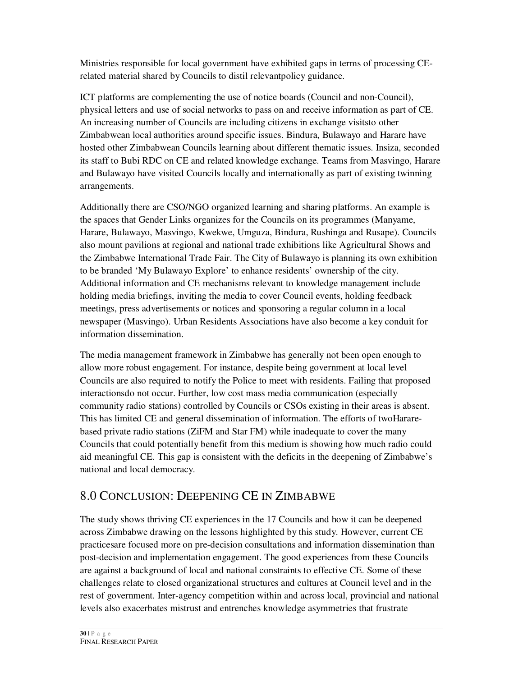Ministries responsible for local government have exhibited gaps in terms of processing CErelated material shared by Councils to distil relevantpolicy guidance.

ICT platforms are complementing the use of notice boards (Council and non-Council), physical letters and use of social networks to pass on and receive information as part of CE. An increasing number of Councils are including citizens in exchange visitsto other Zimbabwean local authorities around specific issues. Bindura, Bulawayo and Harare have hosted other Zimbabwean Councils learning about different thematic issues. Insiza, seconded its staff to Bubi RDC on CE and related knowledge exchange. Teams from Masvingo, Harare and Bulawayo have visited Councils locally and internationally as part of existing twinning arrangements.

Additionally there are CSO/NGO organized learning and sharing platforms. An example is the spaces that Gender Links organizes for the Councils on its programmes (Manyame, Harare, Bulawayo, Masvingo, Kwekwe, Umguza, Bindura, Rushinga and Rusape). Councils also mount pavilions at regional and national trade exhibitions like Agricultural Shows and the Zimbabwe International Trade Fair. The City of Bulawayo is planning its own exhibition to be branded 'My Bulawayo Explore' to enhance residents' ownership of the city. Additional information and CE mechanisms relevant to knowledge management include holding media briefings, inviting the media to cover Council events, holding feedback meetings, press advertisements or notices and sponsoring a regular column in a local newspaper (Masvingo). Urban Residents Associations have also become a key conduit for information dissemination.

The media management framework in Zimbabwe has generally not been open enough to allow more robust engagement. For instance, despite being government at local level Councils are also required to notify the Police to meet with residents. Failing that proposed interactionsdo not occur. Further, low cost mass media communication (especially community radio stations) controlled by Councils or CSOs existing in their areas is absent. This has limited CE and general dissemination of information. The efforts of twoHararebased private radio stations (ZiFM and Star FM) while inadequate to cover the many Councils that could potentially benefit from this medium is showing how much radio could aid meaningful CE. This gap is consistent with the deficits in the deepening of Zimbabwe's national and local democracy.

## 8.0 CONCLUSION: DEEPENING CE IN ZIMBABWE

The study shows thriving CE experiences in the 17 Councils and how it can be deepened across Zimbabwe drawing on the lessons highlighted by this study. However, current CE practicesare focused more on pre-decision consultations and information dissemination than post-decision and implementation engagement. The good experiences from these Councils are against a background of local and national constraints to effective CE. Some of these challenges relate to closed organizational structures and cultures at Council level and in the rest of government. Inter-agency competition within and across local, provincial and national levels also exacerbates mistrust and entrenches knowledge asymmetries that frustrate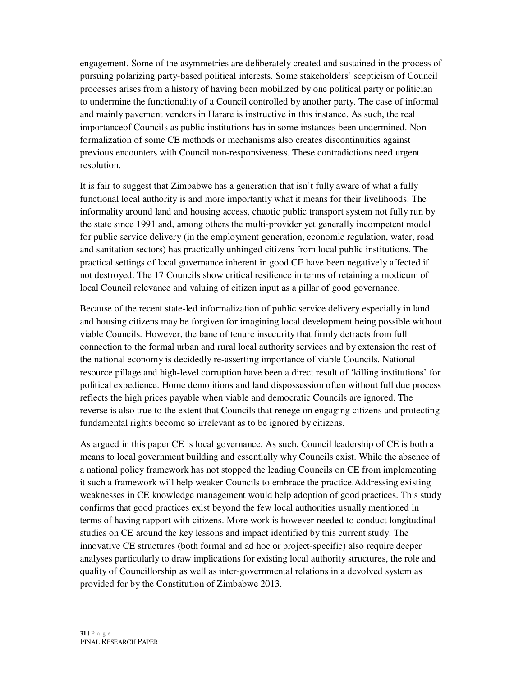engagement. Some of the asymmetries are deliberately created and sustained in the process of pursuing polarizing party-based political interests. Some stakeholders' scepticism of Council processes arises from a history of having been mobilized by one political party or politician to undermine the functionality of a Council controlled by another party. The case of informal and mainly pavement vendors in Harare is instructive in this instance. As such, the real importanceof Councils as public institutions has in some instances been undermined. Nonformalization of some CE methods or mechanisms also creates discontinuities against previous encounters with Council non-responsiveness. These contradictions need urgent resolution.

It is fair to suggest that Zimbabwe has a generation that isn't fully aware of what a fully functional local authority is and more importantly what it means for their livelihoods. The informality around land and housing access, chaotic public transport system not fully run by the state since 1991 and, among others the multi-provider yet generally incompetent model for public service delivery (in the employment generation, economic regulation, water, road and sanitation sectors) has practically unhinged citizens from local public institutions. The practical settings of local governance inherent in good CE have been negatively affected if not destroyed. The 17 Councils show critical resilience in terms of retaining a modicum of local Council relevance and valuing of citizen input as a pillar of good governance.

Because of the recent state-led informalization of public service delivery especially in land and housing citizens may be forgiven for imagining local development being possible without viable Councils. However, the bane of tenure insecurity that firmly detracts from full connection to the formal urban and rural local authority services and by extension the rest of the national economy is decidedly re-asserting importance of viable Councils. National resource pillage and high-level corruption have been a direct result of 'killing institutions' for political expedience. Home demolitions and land dispossession often without full due process reflects the high prices payable when viable and democratic Councils are ignored. The reverse is also true to the extent that Councils that renege on engaging citizens and protecting fundamental rights become so irrelevant as to be ignored by citizens.

As argued in this paper CE is local governance. As such, Council leadership of CE is both a means to local government building and essentially why Councils exist. While the absence of a national policy framework has not stopped the leading Councils on CE from implementing it such a framework will help weaker Councils to embrace the practice.Addressing existing weaknesses in CE knowledge management would help adoption of good practices. This study confirms that good practices exist beyond the few local authorities usually mentioned in terms of having rapport with citizens. More work is however needed to conduct longitudinal studies on CE around the key lessons and impact identified by this current study. The innovative CE structures (both formal and ad hoc or project-specific) also require deeper analyses particularly to draw implications for existing local authority structures, the role and quality of Councillorship as well as inter-governmental relations in a devolved system as provided for by the Constitution of Zimbabwe 2013.